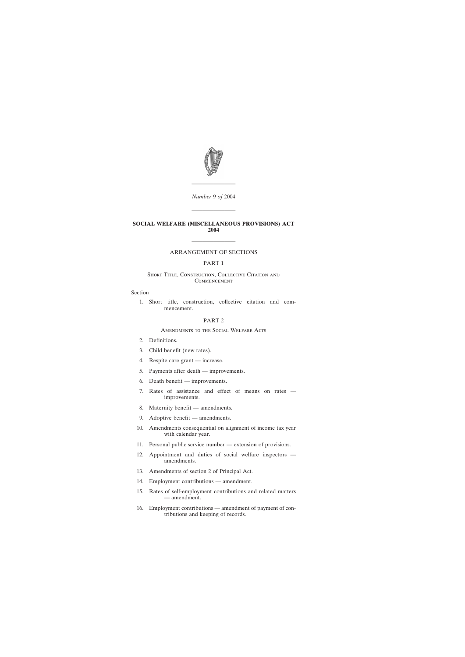

*Number* 9 *of* 2004

————————

————————

#### **SOCIAL WELFARE (MISCELLANEOUS PROVISIONS) ACT 2004**

# ———————— ARRANGEMENT OF SECTIONS

#### PART 1

#### SHORT TITLE, CONSTRUCTION, COLLECTIVE CITATION AND **COMMENCEMENT**

#### Section

[1. Short title, construction, collective citation and com](#page-2-0)[mencement.](#page-2-0)

#### PART 2

#### Amendments to the Social Welfare Acts

- [2. Definitions.](#page-3-0)
- [3. Child benefit \(new rates\).](#page-3-0)
- [4. Respite care grant increase.](#page-3-0)
- [5. Payments after death improvements.](#page-3-0)
- [6. Death benefit improvements.](#page-5-0)
- [7. Rates of assistance and effect of means on rates](#page-5-0)  [improvements.](#page-5-0)
- [8. Maternity benefit amendments.](#page-6-0)
- [9. Adoptive benefit amendments.](#page-6-0)
- [10. Amendments consequential on alignment of income tax year](#page-6-0) [with calendar year.](#page-6-0)
- [11. Personal public service number extension of provisions.](#page-6-0)
- [12. Appointment and duties of social welfare inspectors](#page-7-0)  [amendments.](#page-7-0)
- [13. Amendments of section 2 of Principal Act.](#page-7-0)
- [14. Employment contributions amendment.](#page-7-0)
- [15. Rates of self-employment contributions and related matters](#page-8-0) [— amendment.](#page-8-0)
- [16. Employment contributions amendment of payment of con](#page-9-0)[tributions and keeping of records.](#page-9-0)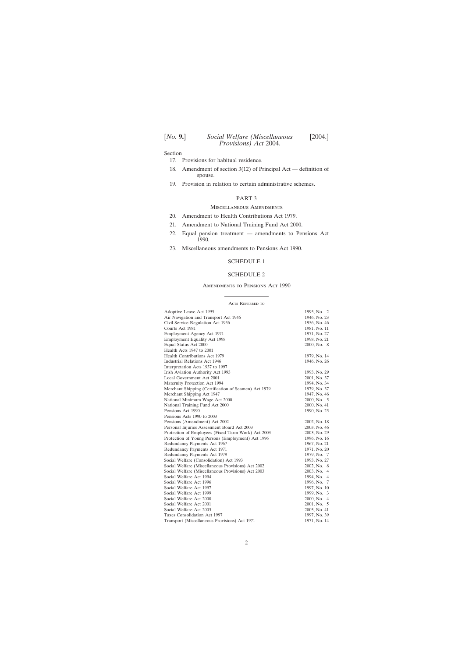[*No.* **9.**] *Social Welfare (Miscellaneous* [2004.] *Provisions) Act* 2004.

Section

- [17. Provisions for habitual residence.](#page-9-0)
- [18. Amendment of section 3\(12\) of Principal Act definition of](#page-9-0) [spouse.](#page-9-0)
- [19. Provision in relation to certain administrative schemes.](#page-9-0)

## PART 3

#### Miscellaneous Amendments

- [20. Amendment to Health Contributions Act 1979.](#page-10-0)
- [21. Amendment to National Training Fund Act 2000.](#page-11-0)
- [22. Equal pension treatment amendments to Pensions Act](#page-11-0) [1990.](#page-11-0)
- [23. Miscellaneous amendments to Pensions Act 1990.](#page-41-0)

#### [SCHEDULE 1](#page-41-0)

#### [SCHEDULE 2](#page-43-0)

#### Amendments to Pensions Act 1990

#### Acts Referred to

| Adoptive Leave Act 1995                              | 1995, No. 2  |
|------------------------------------------------------|--------------|
| Air Navigation and Transport Act 1946                | 1946, No. 23 |
| Civil Service Regulation Act 1956                    | 1956, No. 46 |
| Courts Act 1981                                      | 1981, No. 11 |
| Employment Agency Act 1971                           | 1971, No. 27 |
| <b>Employment Equality Act 1998</b>                  | 1998, No. 21 |
| Equal Status Act 2000                                | 2000, No. 8  |
| Health Acts 1947 to 2001                             |              |
| Health Contributions Act 1979                        | 1979, No. 14 |
| Industrial Relations Act 1946                        | 1946, No. 26 |
| Interpretation Acts 1937 to 1997                     |              |
| Irish Aviation Authority Act 1993                    | 1993, No. 29 |
| Local Government Act 2001                            | 2001, No. 37 |
| Maternity Protection Act 1994                        | 1994, No. 34 |
| Merchant Shipping (Certification of Seamen) Act 1979 | 1979, No. 37 |
| Merchant Shipping Act 1947                           | 1947, No. 46 |
| National Minimum Wage Act 2000                       | 2000, No. 5  |
| National Training Fund Act 2000                      | 2000, No. 41 |
| Pensions Act 1990                                    | 1990, No. 25 |
| Pensions Acts 1990 to 2003                           |              |
| Pensions (Amendment) Act 2002                        | 2002, No. 18 |
| Personal Injuries Assessment Board Act 2003          | 2003, No. 46 |
| Protection of Employees (Fixed-Term Work) Act 2003   | 2003, No. 29 |
| Protection of Young Persons (Employment) Act 1996    | 1996, No. 16 |
| Redundancy Payments Act 1967                         | 1967, No. 21 |
| Redundancy Payments Act 1971                         | 1971, No. 20 |
| Redundancy Payments Act 1979                         | 1979, No. 7  |
| Social Welfare (Consolidation) Act 1993              | 1993, No. 27 |
| Social Welfare (Miscellaneous Provisions) Act 2002   | 2002, No. 8  |
| Social Welfare (Miscellaneous Provisions) Act 2003   | 2003, No. 4  |
| Social Welfare Act 1994                              | 1994, No. 4  |
| Social Welfare Act 1996                              | 1996, No. 7  |
| Social Welfare Act 1997                              | 1997, No. 10 |
| Social Welfare Act 1999                              | 1999, No. 3  |
| Social Welfare Act 2000                              | 2000, No. 4  |
| Social Welfare Act 2001                              | 2001, No. 5  |
| Social Welfare Act 2003                              | 2003, No. 41 |
| Taxes Consolidation Act 1997                         | 1997, No. 39 |
| Transport (Miscellaneous Provisions) Act 1971        | 1971, No. 14 |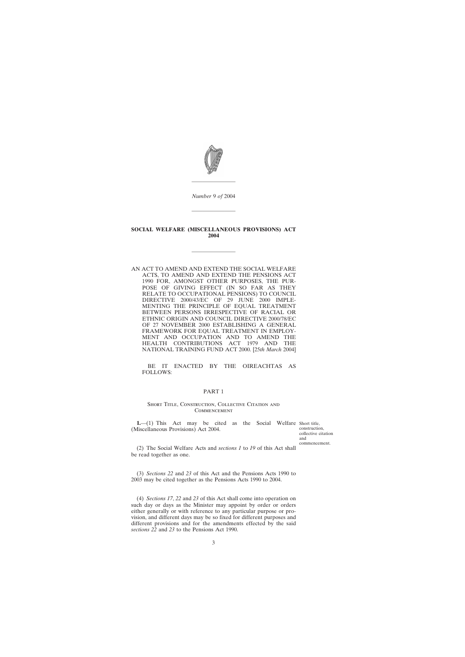<span id="page-2-0"></span>

*Number* 9 *of* 2004

————————

————————

#### **SOCIAL WELFARE (MISCELLANEOUS PROVISIONS) ACT 2004**

————————

AN ACT TO AMEND AND EXTEND THE SOCIAL WELFARE ACTS, TO AMEND AND EXTEND THE PENSIONS ACT 1990 FOR, AMONGST OTHER PURPOSES, THE PUR-POSE OF GIVING EFFECT (IN SO FAR AS THEY RELATE TO OCCUPATIONAL PENSIONS) TO COUNCIL DIRECTIVE 2000/43/EC OF 29 JUNE 2000 IMPLE-MENTING THE PRINCIPLE OF EQUAL TREATMENT BETWEEN PERSONS IRRESPECTIVE OF RACIAL OR ETHNIC ORIGIN AND COUNCIL DIRECTIVE 2000/78/EC OF 27 NOVEMBER 2000 ESTABLISHING A GENERAL FRAMEWORK FOR EQUAL TREATMENT IN EMPLOY-MENT AND OCCUPATION AND TO AMEND THE HEALTH CONTRIBUTIONS ACT 1979 AND THE HEALTH CONTRIBUTIONS ACT NATIONAL TRAINING FUND ACT 2000. [25*th March* 2004]

BE IT ENACTED BY THE OIREACHTAS AS FOLLOWS:

#### PART 1

#### SHORT TITLE, CONSTRUCTION, COLLECTIVE CITATION AND **COMMENCEMENT**

**1.**—(1) This Act may be cited as the Social Welfare Short title, (Miscellaneous Provisions) Act 2004.

construction, collective citation and commencement.

(2) The Social Welfare Acts and *sections 1* to *19* of this Act shall be read together as one.

(3) *Sections 22* and *23* of this Act and the Pensions Acts 1990 to 2003 may be cited together as the Pensions Acts 1990 to 2004.

(4) *Sections 17*, *22* and *23* of this Act shall come into operation on such day or days as the Minister may appoint by order or orders either generally or with reference to any particular purpose or provision, and different days may be so fixed for different purposes and different provisions and for the amendments effected by the said *sections 22* and *23* to the Pensions Act 1990.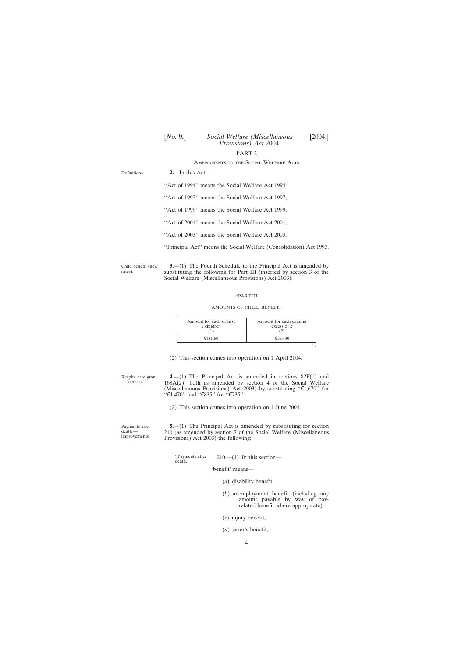# PART 2

#### Amendments to the Social Welfare Acts

<span id="page-3-0"></span>

| Definitions. | $2$ —In this Act—                                                  |
|--------------|--------------------------------------------------------------------|
|              | "Act of 1994" means the Social Welfare Act 1994;                   |
|              | "Act of 1997" means the Social Welfare Act 1997;                   |
|              | "Act of 1999" means the Social Welfare Act 1999;                   |
|              | "Act of 2001" means the Social Welfare Act 2001;                   |
|              | "Act of 2003" means the Social Welfare Act 2003;                   |
|              | "Principal Act" means the Social Welfare (Consolidation) Act 1993. |
|              |                                                                    |

Child benefit (new rates). **3.**—(1) The Fourth Schedule to the Principal Act is amended by substituting the following for Part III (inserted by section 3 of the Social Welfare (Miscellaneous Provisions) Act 2003):

#### ''PART III

#### AMOUNTS OF CHILD BENEFIT

| Amount for each of first<br>2 children | Amount for each child in<br>excess of 2 |
|----------------------------------------|-----------------------------------------|
| €131.60                                | €165.30                                 |
|                                        | ,,                                      |

(2) This section comes into operation on 1 April 2004.

**4.**—(1) The Principal Act is amended in sections 82F(1) and 168A(2) (both as amended by section 4 of the Social Welfare (Miscellaneous Provisions) Act 2003) by substituting " $\epsilon$ 1,670" for  $\cdot$  ' $\in$ 1,470'' and '' $\in$ 835'' for ' $\in$ 735''.

(2) This section comes into operation on 1 June 2004.

Payments after death improvements.

Respite care grant — increase.

> **5.**—(1) The Principal Act is amended by substituting for section 210 (as amended by section 7 of the Social Welfare (Miscellaneous Provisions) Act 2003) the following:

"Payments after  $210$ .—(1) In this section—death.

'benefit' means—

- (*a*) disability benefit,
- (*b*) unemployment benefit (including any amount payable by way of payrelated benefit where appropriate),
- (*c*) injury benefit,
- (*d*) carer's benefit,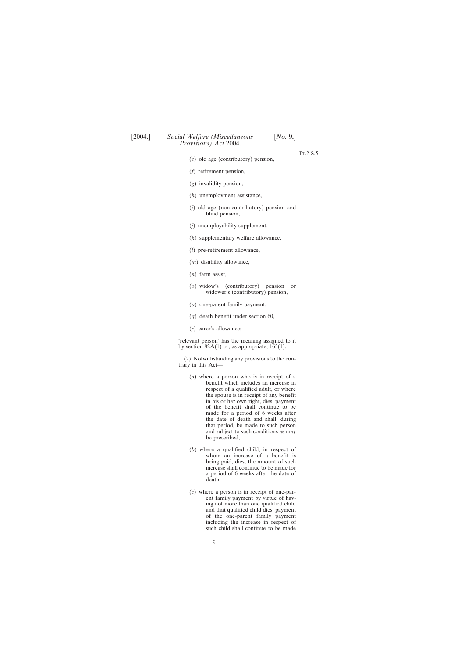Pt.2 S.5

- (*e*) old age (contributory) pension,
- (*f*) retirement pension,
- (*g*) invalidity pension,
- (*h*) unemployment assistance,
- (*i*) old age (non-contributory) pension and blind pension,
- (*j*) unemployability supplement,
- (*k*) supplementary welfare allowance,
- (*l*) pre-retirement allowance,
- (*m*) disability allowance,
- (*n*) farm assist,
- (*o*) widow's (contributory) pension or widower's (contributory) pension,
- (*p*) one-parent family payment,
- (*q*) death benefit under section 60,
- (*r*) carer's allowance;

'relevant person' has the meaning assigned to it by section  $82A(1)$  or, as appropriate,  $163(1)$ .

(2) Notwithstanding any provisions to the contrary in this Act—

- (*a*) where a person who is in receipt of a benefit which includes an increase in respect of a qualified adult, or where the spouse is in receipt of any benefit in his or her own right, dies, payment of the benefit shall continue to be made for a period of 6 weeks after the date of death and shall, during that period, be made to such person and subject to such conditions as may be prescribed,
- (*b*) where a qualified child, in respect of whom an increase of a benefit is being paid, dies, the amount of such increase shall continue to be made for a period of 6 weeks after the date of death,
- (*c*) where a person is in receipt of one-parent family payment by virtue of having not more than one qualified child and that qualified child dies, payment of the one-parent family payment including the increase in respect of such child shall continue to be made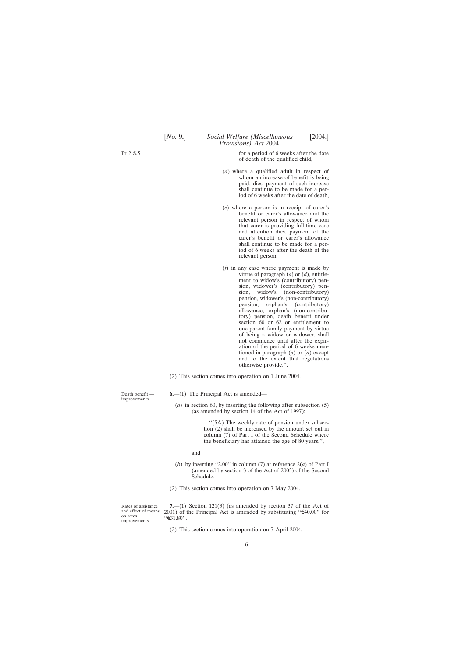<span id="page-5-0"></span>Pt.2 S.5

for a period of 6 weeks after the date of death of the qualified child,

- (*d*) where a qualified adult in respect of whom an increase of benefit is being paid, dies, payment of such increase shall continue to be made for a period of 6 weeks after the date of death,
- (*e*) where a person is in receipt of carer's benefit or carer's allowance and the relevant person in respect of whom that carer is providing full-time care and attention dies, payment of the carer's benefit or carer's allowance shall continue to be made for a period of 6 weeks after the death of the relevant person,
- (*f*) in any case where payment is made by virtue of paragraph (*a*) or (*d*), entitlement to widow's (contributory) pension, widower's (contributory) pension, widow's (non-contributory) pension, widower's (non-contributory)<br>pension, orphan's (contributory) orphan's (contributory) allowance, orphan's (non-contributory) pension, death benefit under section 60 or 62 or entitlement to one-parent family payment by virtue of being a widow or widower, shall not commence until after the expiration of the period of 6 weeks mentioned in paragraph (*a*) or (*d*) except and to the extent that regulations otherwise provide.''.

(2) This section comes into operation on 1 June 2004.

**6.**—(1) The Principal Act is amended—

(*a*) in section 60, by inserting the following after subsection (5) (as amended by section 14 of the Act of 1997):

> ''(5A) The weekly rate of pension under subsection (2) shall be increased by the amount set out in column (7) of Part I of the Second Schedule where the beneficiary has attained the age of 80 years.'',

and

- (*b*) by inserting "2.00" in column (7) at reference  $2(a)$  of Part I (amended by section 3 of the Act of 2003) of the Second Schedule.
- (2) This section comes into operation on 7 May 2004.

Rates of assistance and effect of means on rates improvements.

Death benefit improvements.

> **7.**—(1) Section 121(3) (as amended by section 37 of the Act of 2001) of the Principal Act is amended by substituting " $\text{\textsterling}40.00$ " for  $``€31.80"$ .

(2) This section comes into operation on 7 April 2004.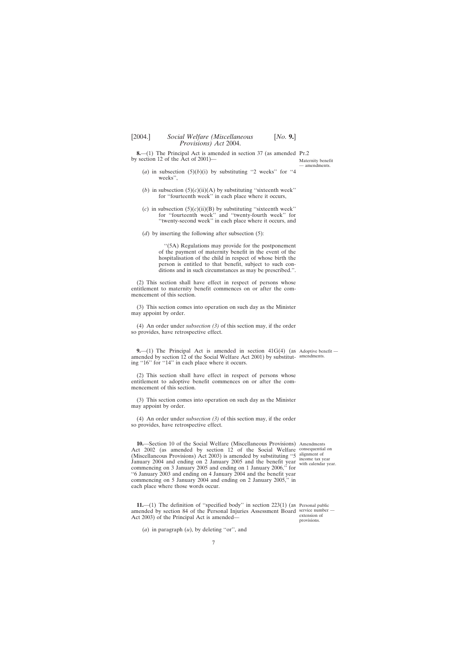— amendments.

<span id="page-6-0"></span>**8.**—(1) The Principal Act is amended in section 37 (as amended Pr.2 by section 12 of the Act of 2001)— Maternity benefit

- (*a*) in subsection  $(5)(b)(i)$  by substituting "2 weeks" for "4 weeks'',
- (*b*) in subsection  $(5)(c)(ii)(A)$  by substituting "sixteenth week" for ''fourteenth week'' in each place where it occurs,
- (*c*) in subsection  $(5)(c)(ii)(B)$  by substituting "sixteenth week" for ''fourteenth week'' and ''twenty-fourth week'' for ''twenty-second week'' in each place where it occurs, and
- (*d*) by inserting the following after subsection (5):

''(5A) Regulations may provide for the postponement of the payment of maternity benefit in the event of the hospitalisation of the child in respect of whose birth the person is entitled to that benefit, subject to such conditions and in such circumstances as may be prescribed.''.

(2) This section shall have effect in respect of persons whose entitlement to maternity benefit commences on or after the commencement of this section.

(3) This section comes into operation on such day as the Minister may appoint by order.

(4) An order under *subsection (3)* of this section may, if the order so provides, have retrospective effect.

**9.**—(1) The Principal Act is amended in section 41G(4) (as Adoptive benefit amended by section 12 of the Social Welfare Act 2001) by substitut-amendments. ing "16" for "14" in each place where it occurs.

(2) This section shall have effect in respect of persons whose entitlement to adoptive benefit commences on or after the commencement of this section.

(3) This section comes into operation on such day as the Minister may appoint by order.

(4) An order under *subsection (3)* of this section may, if the order so provides, have retrospective effect.

**10.**—Section 10 of the Social Welfare (Miscellaneous Provisions) Amendments Act 2002 (as amended by section 12 of the Social Welfare consequential on (Miscellaneous Provisions) Act 2003) is amended by substituting "5  $\frac{\text{alignment of}}{\text{incomp to }y}$ January 2004 and ending on 2 January 2005 and the benefit year with calendar ve commencing on 3 January 2005 and ending on 1 January 2006,'' for ''6 January 2003 and ending on 4 January 2004 and the benefit year commencing on 5 January 2004 and ending on 2 January 2005,'' in each place where those words occur.

with calendar year.

**11.**—(1) The definition of "specified body" in section 223(1) (as Personal public amended by section 84 of the Personal Injuries Assessment Board service number — Act 2003) of the Principal Act is amended—

(*a*) in paragraph (*u*), by deleting ''or'', and

extension of provisions.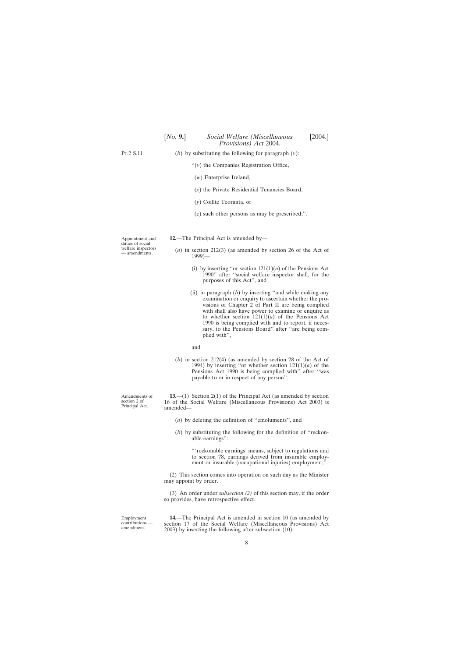<span id="page-7-0"></span>Pt.2 S.11 (*b*) by substituting the following for paragraph (*v*):

''(*v*) the Companies Registration Office,

- (*w*) Enterprise Ireland,
- (*x*) the Private Residential Tenancies Board,
- (*y*) Coillte Teoranta, or
- (*z*) such other persons as may be prescribed;''.

Appointment and duties of social welfare inspectors — amendments.

- **12.**—The Principal Act is amended by—
	- (*a*) in section 212(3) (as amended by section 26 of the Act of 1999)—
		- (i) by inserting "or section  $121(1)(a)$  of the Pensions Act 1990'' after ''social welfare inspector shall, for the purposes of this Act'', and
		- (ii) in paragraph (*b*) by inserting ''and while making any examination or enquiry to ascertain whether the provisions of Chapter 2 of Part II are being complied with shall also have power to examine or enquire as to whether section  $121(1)(a)$  of the Pensions Act 1990 is being complied with and to report, if necessary, to the Pensions Board'' after ''are being complied with'',
		- and
	- (*b*) in section 212(4) (as amended by section 28 of the Act of 1994) by inserting "or whether section  $121(1)(a)$  of the Pensions Act 1990 is being complied with'' after ''was payable to or in respect of any person''.

**13.**—(1) Section 2(1) of the Principal Act (as amended by section 16 of the Social Welfare (Miscellaneous Provisions) Act 2003) is amended—

- (*a*) by deleting the definition of ''emoluments'', and
- (*b*) by substituting the following for the definition of ''reckonable earnings'':

'''reckonable earnings' means, subject to regulations and to section 78, earnings derived from insurable employment or insurable (occupational injuries) employment;''.

(2) This section comes into operation on such day as the Minister may appoint by order.

(3) An order under *subsection (2)* of this section may, if the order so provides, have retrospective effect.

Employment contributions amendment.

**14.**—The Principal Act is amended in section 10 (as amended by section 17 of the Social Welfare (Miscellaneous Provisions) Act 2003) by inserting the following after subsection (10):

Amendments of section 2 of Principal Act.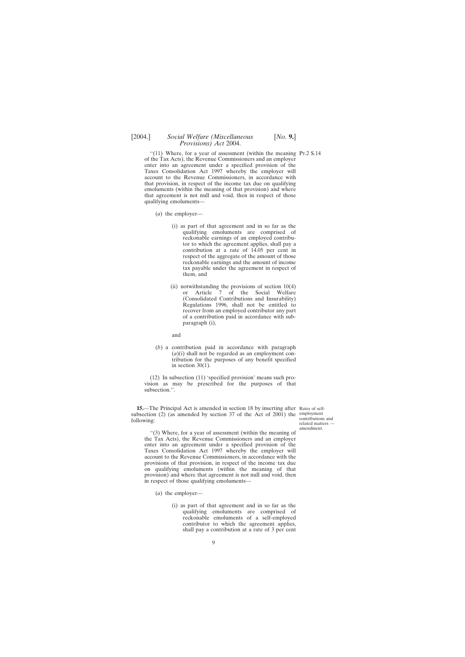<span id="page-8-0"></span>"(11) Where, for a year of assessment (within the meaning Pr.2 S.14) of the Tax Acts), the Revenue Commissioners and an employer enter into an agreement under a specified provision of the Taxes Consolidation Act 1997 whereby the employer will account to the Revenue Commissioners, in accordance with that provision, in respect of the income tax due on qualifying emoluments (within the meaning of that provision) and where that agreement is not null and void, then in respect of those qualifying emoluments—

- (*a*) the employer—
	- (i) as part of that agreement and in so far as the qualifying emoluments are comprised of reckonable earnings of an employed contributor to which the agreement applies, shall pay a contribution at a rate of 14.05 per cent in respect of the aggregate of the amount of those reckonable earnings and the amount of income tax payable under the agreement in respect of them, and
	- (ii) notwithstanding the provisions of section 10(4) or Article 7 of the Social Welfare (Consolidated Contributions and Insurability) Regulations 1996, shall not be entitled to recover from an employed contributor any part of a contribution paid in accordance with subparagraph (i),

and

(*b*) a contribution paid in accordance with paragraph (*a*)(i) shall not be regarded as an employment contribution for the purposes of any benefit specified in section  $30(1)$ .

(12) In subsection (11) 'specified provision' means such provision as may be prescribed for the purposes of that subsection.''.

**15.**—The Principal Act is amended in section 18 by inserting after Rates of selfsubsection (2) (as amended by section 37 of the Act of 2001) the employment following:

contributions and related matters amendment.

''(3) Where, for a year of assessment (within the meaning of the Tax Acts), the Revenue Commissioners and an employer enter into an agreement under a specified provision of the Taxes Consolidation Act 1997 whereby the employer will account to the Revenue Commissioners, in accordance with the provisions of that provision, in respect of the income tax due on qualifying emoluments (within the meaning of that provision) and where that agreement is not null and void, then in respect of those qualifying emoluments—

(*a*) the employer—

(i) as part of that agreement and in so far as the qualifying emoluments are comprised of reckonable emoluments of a self-employed contributor to which the agreement applies, shall pay a contribution at a rate of 3 per cent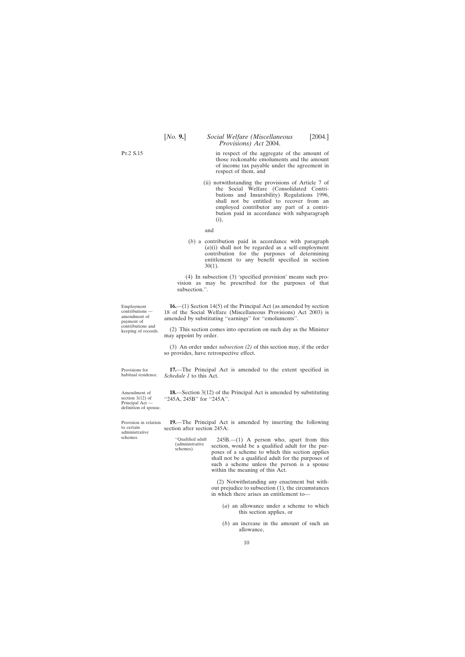<span id="page-9-0"></span>[*No.* **9.**] *Social Welfare (Miscellaneous* [2004.]

in respect of the aggregate of the amount of those reckonable emoluments and the amount of income tax payable under the agreement in respect of them, and

*Provisions) Act* 2004.

(ii) notwithstanding the provisions of Article 7 of the Social Welfare (Consolidated Contributions and Insurability) Regulations 1996, shall not be entitled to recover from an employed contributor any part of a contribution paid in accordance with subparagraph (i),

and

(*b*) a contribution paid in accordance with paragraph (*a*)(i) shall not be regarded as a self-employment contribution for the purposes of determining entitlement to any benefit specified in section 30(1).

(4) In subsection (3) 'specified provision' means such provision as may be prescribed for the purposes of that subsection.''.

**16.**—(1) Section 14(5) of the Principal Act (as amended by section 18 of the Social Welfare (Miscellaneous Provisions) Act 2003) is amended by substituting ''earnings'' for ''emoluments''.

(2) This section comes into operation on such day as the Minister may appoint by order.

(3) An order under *subsection (2)* of this section may, if the order so provides, have retrospective effect.

**17.**—The Principal Act is amended to the extent specified in *Schedule 1* to this Act.

**18.**—Section 3(12) of the Principal Act is amended by substituting "245A, 245B" for "245A".

**19.**—The Principal Act is amended by inserting the following section after section 245A:

''Qualified adult 245B.—(1) A person who, apart from this (administrative section, would be a qualified adult for the pur- schemes). poses of a scheme to which this section applies shall not be a qualified adult for the purposes of such a scheme unless the person is a spouse within the meaning of this Act.

> (2) Notwithstanding any enactment but without prejudice to subsection (1), the circumstances in which there arises an entitlement to—

- (*a*) an allowance under a scheme to which this section applies, or
- (*b*) an increase in the amount of such an allowance,

Employment contributions amendment of payment of contributions and keeping of records.

Provisions for habitual residence.

Amendment of section 3(12) of Principal Act definition of spouse.

Provision in relation to certain administrative schemes.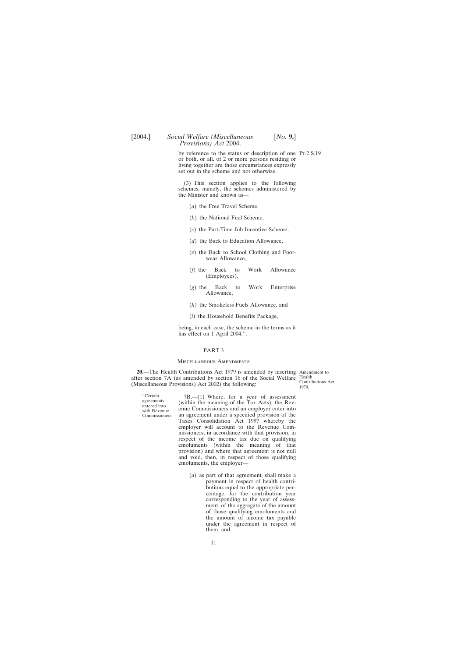<span id="page-10-0"></span>by reference to the status or description of one Pt.2 S.19 or both, or all, of 2 or more persons residing or living together are those circumstances expressly set out in the scheme and not otherwise.

(3) This section applies to the following schemes, namely, the schemes administered by the Minister and known as—

- (*a*) the Free Travel Scheme,
- (*b*) the National Fuel Scheme,
- (*c*) the Part-Time Job Incentive Scheme,
- (*d*) the Back to Education Allowance,
- (*e*) the Back to School Clothing and Footwear Allowance,
- (*f*) the Back to Work Allowance (Employees),
- (*g*) the Back to Work Enterprise Allowance,
- (*h*) the Smokeless Fuels Allowance, and
- (*i*) the Household Benefits Package,

being, in each case, the scheme in the terms as it has effect on 1 April 2004.".

#### PART 3

#### Miscellaneous Amendments

**20.**—The Health Contributions Act 1979 is amended by inserting Amendment to after section 7A (as amended by section 16 of the Social Welfare Health (Miscellaneous Provisions) Act 2002) the following:

Contributions Act 1979.

"Certain 7B.—(1) Where, for a year of assessment agreements (within the meaning of the Tax Acts), the Rev-<br>with Revenue enue Commissioners and an employer enter into<br>Commissioners. an agreement under a specified provision an agreement under a specified provision of the Taxes Consolidation Act 1997 whereby the employer will account to the Revenue Commissioners, in accordance with that provision, in respect of the income tax due on qualifying emoluments (within the meaning of that provision) and where that agreement is not null and void, then, in respect of those qualifying emoluments, the employer—

> (*a*) as part of that agreement, shall make a payment in respect of health contributions equal to the appropriate percentage, for the contribution year corresponding to the year of assessment, of the aggregate of the amount of those qualifying emoluments and the amount of income tax payable under the agreement in respect of them, and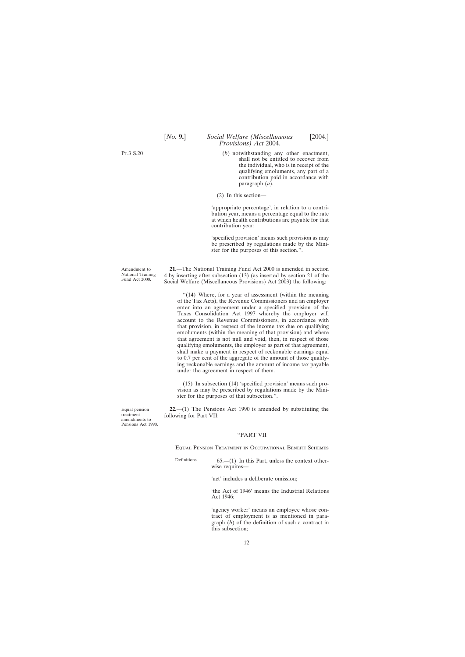(*b*) notwithstanding any other enactment, shall not be entitled to recover from the individual, who is in receipt of the qualifying emoluments, any part of a contribution paid in accordance with paragraph (*a*).

(2) In this section—

'appropriate percentage', in relation to a contribution year, means a percentage equal to the rate at which health contributions are payable for that contribution year;

'specified provision' means such provision as may be prescribed by regulations made by the Minister for the purposes of this section.''.

**21.**—The National Training Fund Act 2000 is amended in section 4 by inserting after subsection (13) (as inserted by section 21 of the Social Welfare (Miscellaneous Provisions) Act 2003) the following:

''(14) Where, for a year of assessment (within the meaning of the Tax Acts), the Revenue Commissioners and an employer enter into an agreement under a specified provision of the Taxes Consolidation Act 1997 whereby the employer will account to the Revenue Commissioners, in accordance with that provision, in respect of the income tax due on qualifying emoluments (within the meaning of that provision) and where that agreement is not null and void, then, in respect of those qualifying emoluments, the employer as part of that agreement, shall make a payment in respect of reckonable earnings equal to 0.7 per cent of the aggregate of the amount of those qualifying reckonable earnings and the amount of income tax payable under the agreement in respect of them.

(15) In subsection (14) 'specified provision' means such provision as may be prescribed by regulations made by the Minister for the purposes of that subsection.''.

**22.**—(1) The Pensions Act 1990 is amended by substituting the following for Part VII:

#### ''PART VII

Equal Pension Treatment in Occupational Benefit Schemes

Definitions.  $65-(1)$  In this Part, unless the context otherwise requires—

'act' includes a deliberate omission;

'the Act of 1946' means the Industrial Relations Act 1946;

'agency worker' means an employee whose contract of employment is as mentioned in paragraph (*b*) of the definition of such a contract in this subsection;

Amendment to National Training Fund Act 2000.

<span id="page-11-0"></span>Pt.3 S.20

Equal pension treatment amendments to Pensions Act 1990.

12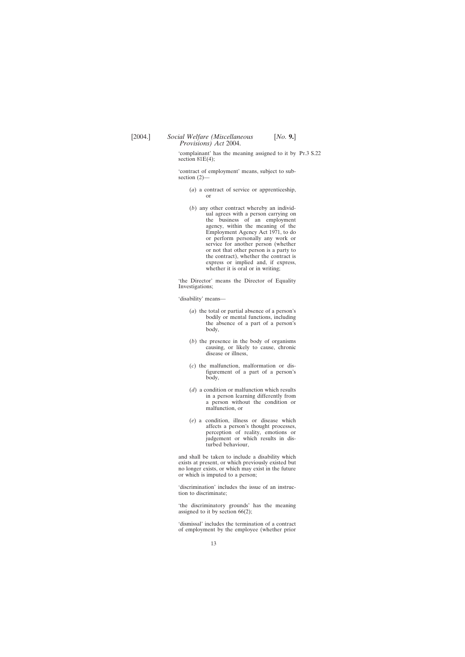'complainant' has the meaning assigned to it by Pt.3 S.22 section 81E(4);

'contract of employment' means, subject to subsection (2)—

- (*a*) a contract of service or apprenticeship, or
- (*b*) any other contract whereby an individual agrees with a person carrying on the business of an employment agency, within the meaning of the Employment Agency Act 1971, to do or perform personally any work or service for another person (whether or not that other person is a party to the contract), whether the contract is express or implied and, if express, whether it is oral or in writing;

'the Director' means the Director of Equality Investigations;

'disability' means—

- (*a*) the total or partial absence of a person's bodily or mental functions, including the absence of a part of a person's body,
- (*b*) the presence in the body of organisms causing, or likely to cause, chronic disease or illness,
- (*c*) the malfunction, malformation or disfigurement of a part of a person's body,
- (*d*) a condition or malfunction which results in a person learning differently from a person without the condition or malfunction, or
- (*e*) a condition, illness or disease which affects a person's thought processes, perception of reality, emotions or judgement or which results in disturbed behaviour,

and shall be taken to include a disability which exists at present, or which previously existed but no longer exists, or which may exist in the future or which is imputed to a person;

'discrimination' includes the issue of an instruction to discriminate;

'the discriminatory grounds' has the meaning assigned to it by section 66(2);

'dismissal' includes the termination of a contract of employment by the employee (whether prior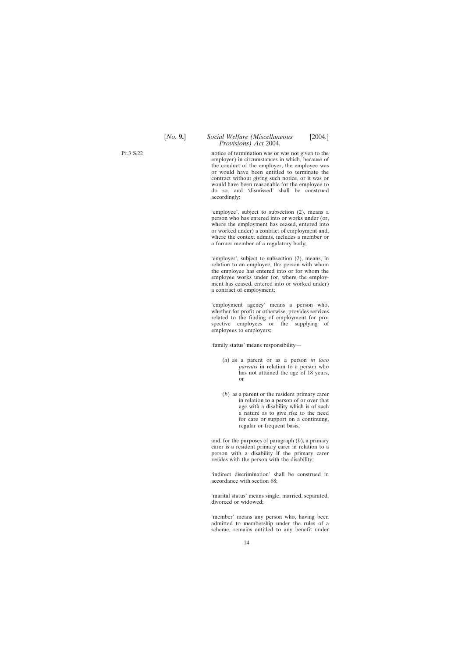notice of termination was or was not given to the employer) in circumstances in which, because of the conduct of the employer, the employee was or would have been entitled to terminate the contract without giving such notice, or it was or would have been reasonable for the employee to do so, and 'dismissed' shall be construed accordingly;

'employee', subject to subsection (2), means a person who has entered into or works under (or, where the employment has ceased, entered into or worked under) a contract of employment and, where the context admits, includes a member or a former member of a regulatory body;

'employer', subject to subsection (2), means, in relation to an employee, the person with whom the employee has entered into or for whom the employee works under (or, where the employment has ceased, entered into or worked under) a contract of employment;

'employment agency' means a person who, whether for profit or otherwise, provides services related to the finding of employment for prospective employees or the supplying of employees to employers;

'family status' means responsibility—

- (*a*) as a parent or as a person *in loco parentis* in relation to a person who has not attained the age of 18 years, or
- (*b*) as a parent or the resident primary carer in relation to a person of or over that age with a disability which is of such a nature as to give rise to the need for care or support on a continuing, regular or frequent basis,

and, for the purposes of paragraph (*b*), a primary carer is a resident primary carer in relation to a person with a disability if the primary carer resides with the person with the disability;

'indirect discrimination' shall be construed in accordance with section 68;

'marital status' means single, married, separated, divorced or widowed;

'member' means any person who, having been admitted to membership under the rules of a scheme, remains entitled to any benefit under

Pt.3 S.22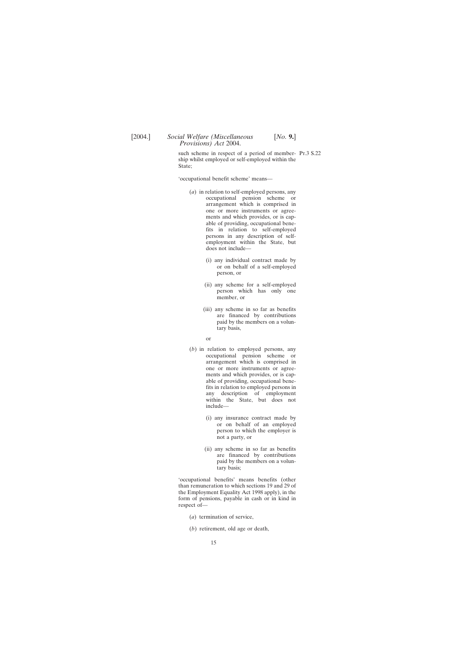such scheme in respect of a period of member- Pr.3 S.22 ship whilst employed or self-employed within the State;

'occupational benefit scheme' means—

- (*a*) in relation to self-employed persons, any occupational pension scheme or arrangement which is comprised in one or more instruments or agreements and which provides, or is capable of providing, occupational benefits in relation to self-employed persons in any description of selfemployment within the State, but does not include—
	- (i) any individual contract made by or on behalf of a self-employed person, or
	- (ii) any scheme for a self-employed person which has only one member, or
	- (iii) any scheme in so far as benefits are financed by contributions paid by the members on a voluntary basis,
	- or
- (*b*) in relation to employed persons, any occupational pension scheme or arrangement which is comprised in one or more instruments or agreements and which provides, or is capable of providing, occupational benefits in relation to employed persons in any description of employment within the State, but does not include—
	- (i) any insurance contract made by or on behalf of an employed person to which the employer is not a party, or
	- (ii) any scheme in so far as benefits are financed by contributions paid by the members on a voluntary basis;

'occupational benefits' means benefits (other than remuneration to which sections 19 and 29 of the Employment Equality Act 1998 apply), in the form of pensions, payable in cash or in kind in respect of—

- (*a*) termination of service,
- (*b*) retirement, old age or death,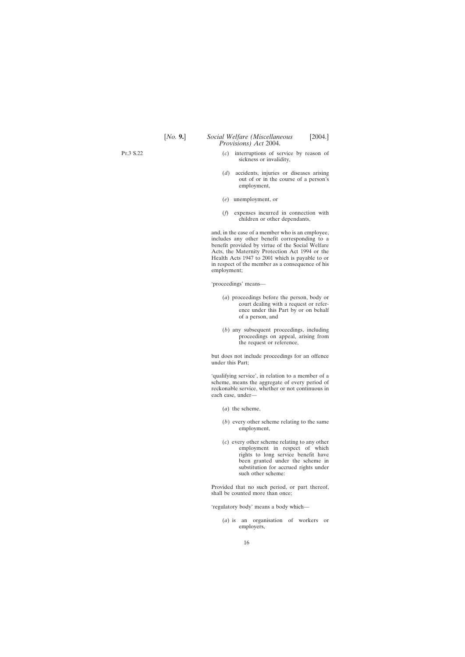- (*c*) interruptions of service by reason of sickness or invalidity,
- (*d*) accidents, injuries or diseases arising out of or in the course of a person's employment,
- (*e*) unemployment, or
- (*f*) expenses incurred in connection with children or other dependants,

and, in the case of a member who is an employee, includes any other benefit corresponding to a benefit provided by virtue of the Social Welfare Acts, the Maternity Protection Act 1994 or the Health Acts 1947 to 2001 which is payable to or in respect of the member as a consequence of his employment;

'proceedings' means—

- (*a*) proceedings before the person, body or court dealing with a request or reference under this Part by or on behalf of a person, and
- (*b*) any subsequent proceedings, including proceedings on appeal, arising from the request or reference,

but does not include proceedings for an offence under this Part;

'qualifying service', in relation to a member of a scheme, means the aggregate of every period of reckonable service, whether or not continuous in each case, under—

- (*a*) the scheme,
- (*b*) every other scheme relating to the same employment,
- (*c*) every other scheme relating to any other employment in respect of which rights to long service benefit have been granted under the scheme in substitution for accrued rights under such other scheme:

Provided that no such period, or part thereof, shall be counted more than once;

'regulatory body' means a body which—

(*a*) is an organisation of workers or employers,

Pt.3 S.22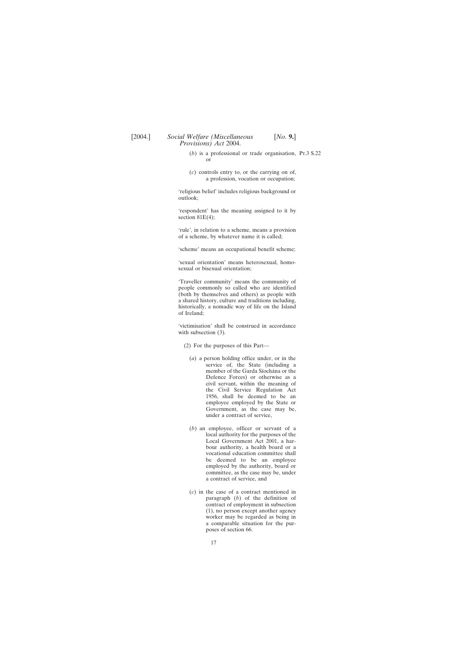- (*b*) is a professional or trade organisation, Pt.3 S.22 or
- (*c*) controls entry to, or the carrying on of, a profession, vocation or occupation;

'religious belief' includes religious background or outlook;

'respondent' has the meaning assigned to it by section  $81E(4)$ ;

'rule', in relation to a scheme, means a provision of a scheme, by whatever name it is called;

'scheme' means an occupational benefit scheme;

'sexual orientation' means heterosexual, homosexual or bisexual orientation;

'Traveller community' means the community of people commonly so called who are identified (both by themselves and others) as people with a shared history, culture and traditions including, historically, a nomadic way of life on the Island of Ireland;

'victimisation' shall be construed in accordance with subsection  $(3)$ .

- (2) For the purposes of this Part—
	- (*a*) a person holding office under, or in the service of, the State (including a member of the Garda Síochána or the Defence Forces) or otherwise as a civil servant, within the meaning of the Civil Service Regulation Act 1956, shall be deemed to be an employee employed by the State or Government, as the case may be, under a contract of service,
	- (*b*) an employee, officer or servant of a local authority for the purposes of the Local Government Act 2001, a harbour authority, a health board or a vocational education committee shall be deemed to be an employee employed by the authority, board or committee, as the case may be, under a contract of service, and
	- (*c*) in the case of a contract mentioned in paragraph (*b*) of the definition of contract of employment in subsection (1), no person except another agency worker may be regarded as being in a comparable situation for the purposes of section 66.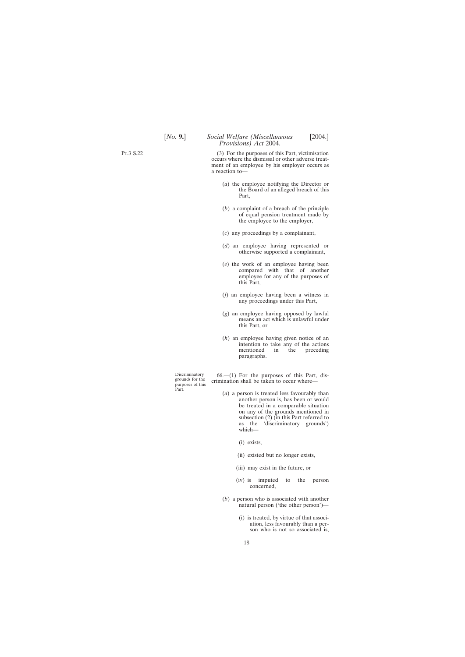(3) For the purposes of this Part, victimisation occurs where the dismissal or other adverse treatment of an employee by his employer occurs as a reaction to—

- (*a*) the employee notifying the Director or the Board of an alleged breach of this Part,
- (*b*) a complaint of a breach of the principle of equal pension treatment made by the employee to the employer,
- (*c*) any proceedings by a complainant,
- (*d*) an employee having represented or otherwise supported a complainant,
- (*e*) the work of an employee having been compared with that of another employee for any of the purposes of this Part,
- (*f*) an employee having been a witness in any proceedings under this Part,
- (*g*) an employee having opposed by lawful means an act which is unlawful under this Part, or
- (*h*) an employee having given notice of an intention to take any of the actions mentioned in the preceding paragraphs.

Part.

Discriminatory  $66$ — $(1)$  For the purposes of this Part, disgrounds for the crimination shall be taken to occur where—

- (*a*) a person is treated less favourably than another person is, has been or would be treated in a comparable situation on any of the grounds mentioned in subsection (2) (in this Part referred to as the 'discriminatory grounds') which—
	- (i) exists,
	- (ii) existed but no longer exists,
	- (iii) may exist in the future, or
	- (iv) is imputed to the person concerned,
- (*b*) a person who is associated with another natural person ('the other person')—
	- (i) is treated, by virtue of that association, less favourably than a person who is not so associated is,

Pt.3 S.22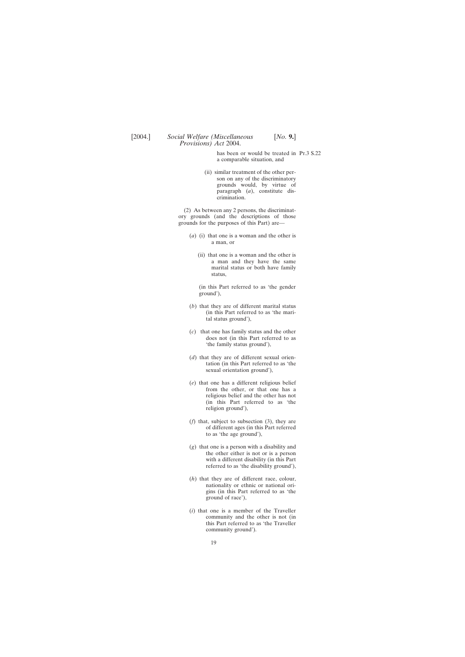has been or would be treated in Pr.3 S.22 a comparable situation, and

(ii) similar treatment of the other person on any of the discriminatory grounds would, by virtue of paragraph (*a*), constitute discrimination.

(2) As between any 2 persons, the discriminatory grounds (and the descriptions of those grounds for the purposes of this Part) are—

- (*a*) (i) that one is a woman and the other is a man, or
	- (ii) that one is a woman and the other is a man and they have the same marital status or both have family status,

(in this Part referred to as 'the gender ground'),

- (*b*) that they are of different marital status (in this Part referred to as 'the marital status ground'),
- (*c*) that one has family status and the other does not (in this Part referred to as 'the family status ground'),
- (*d*) that they are of different sexual orientation (in this Part referred to as 'the sexual orientation ground'),
- (*e*) that one has a different religious belief from the other, or that one has a religious belief and the other has not (in this Part referred to as 'the religion ground'),
- (*f*) that, subject to subsection (3), they are of different ages (in this Part referred to as 'the age ground'),
- (*g*) that one is a person with a disability and the other either is not or is a person with a different disability (in this Part referred to as 'the disability ground'),
- (*h*) that they are of different race, colour, nationality or ethnic or national origins (in this Part referred to as 'the ground of race'),
- (*i*) that one is a member of the Traveller community and the other is not (in this Part referred to as 'the Traveller community ground').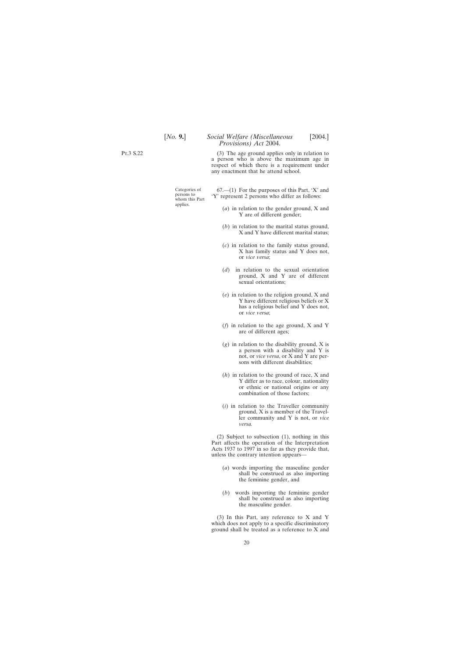Pt.3 S.22

(3) The age ground applies only in relation to a person who is above the maximum age in respect of which there is a requirement under any enactment that he attend school.

applies.

Categories of 67.—(1) For the purposes of this Part, 'X' and persons to  $Y'$  represent 2 persons who differ as follows:

- (*a*) in relation to the gender ground, X and Y are of different gender;
- (*b*) in relation to the marital status ground, X and Y have different marital status;
- (*c*) in relation to the family status ground, X has family status and Y does not, or *vice versa*;
- (*d*) in relation to the sexual orientation ground, X and Y are of different sexual orientations;
- (*e*) in relation to the religion ground, X and Y have different religious beliefs or X has a religious belief and Y does not, or *vice versa*;
- (*f*) in relation to the age ground, X and Y are of different ages;
- (*g*) in relation to the disability ground, X is a person with a disability and Y is not, or *vice versa*, or X and Y are persons with different disabilities;
- (*h*) in relation to the ground of race, X and Y differ as to race, colour, nationality or ethnic or national origins or any combination of those factors;
- (*i*) in relation to the Traveller community ground, X is a member of the Traveller community and Y is not, or *vice versa.*

(2) Subject to subsection (1), nothing in this Part affects the operation of the Interpretation Acts 1937 to 1997 in so far as they provide that, unless the contrary intention appears—

- (*a*) words importing the masculine gender shall be construed as also importing the feminine gender, and
- (*b*) words importing the feminine gender shall be construed as also importing the masculine gender.

(3) In this Part, any reference to X and Y which does not apply to a specific discriminatory ground shall be treated as a reference to X and

20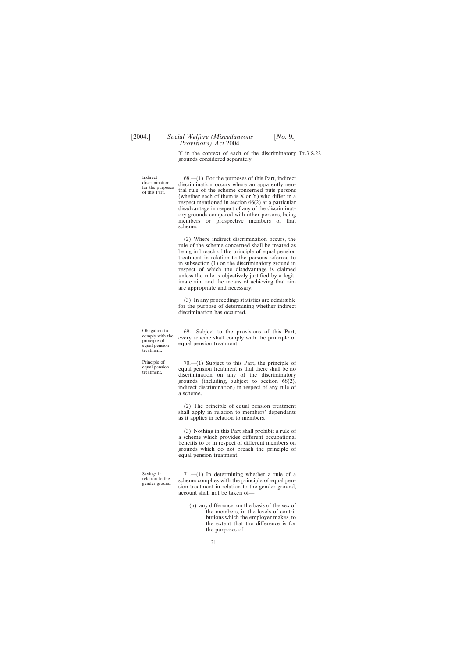Y in the context of each of the discriminatory Pt.3 S.22 grounds considered separately.

Indirect 68.—(1) For the purposes of this Part, indirect discrimination occurs where an apparently neu-<br>for the purposes tral rule of the scheme concerned puts persons of this Part. (whether each of them is  $X$  or  $Y$ ) who differ in a respect mentioned in section 66(2) at a particular disadvantage in respect of any of the discriminatory grounds compared with other persons, being members or prospective members of that scheme.

> (2) Where indirect discrimination occurs, the rule of the scheme concerned shall be treated as being in breach of the principle of equal pension treatment in relation to the persons referred to in subsection (1) on the discriminatory ground in respect of which the disadvantage is claimed unless the rule is objectively justified by a legitimate aim and the means of achieving that aim are appropriate and necessary.

> (3) In any proceedings statistics are admissible for the purpose of determining whether indirect discrimination has occurred.

treatment.

Obligation to 69.—Subject to the provisions of this Part, comply with the every scheme shall comply with the principle of equal pension treatment.

Principle of 70.—(1) Subject to this Part, the principle of equal pension treatment is that there shall be no discrimination on any of the discriminatory grounds (including, subject to section 68(2), indirect discrimination) in respect of any rule of a scheme.

> (2) The principle of equal pension treatment shall apply in relation to members' dependants as it applies in relation to members.

> (3) Nothing in this Part shall prohibit a rule of a scheme which provides different occupational benefits to or in respect of different members on grounds which do not breach the principle of equal pension treatment.

Savings in  $71$ .—(1) In determining whether a rule of a relation to the scheme complies with the principle of equal pengender ground. Since the gender ground, account shall not be taken of—

> (*a*) any difference, on the basis of the sex of the members, in the levels of contributions which the employer makes, to the extent that the difference is for the purposes of—

21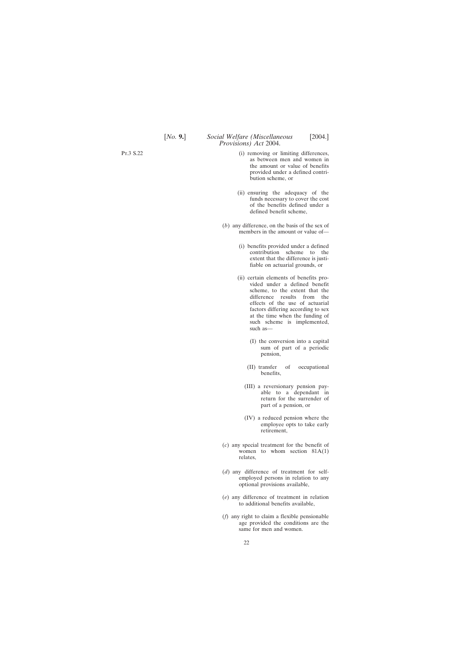- (i) removing or limiting differences, as between men and women in the amount or value of benefits provided under a defined contribution scheme, or
- (ii) ensuring the adequacy of the funds necessary to cover the cost of the benefits defined under a defined benefit scheme,
- (*b*) any difference, on the basis of the sex of members in the amount or value of—
	- (i) benefits provided under a defined contribution scheme to the extent that the difference is justifiable on actuarial grounds, or
	- (ii) certain elements of benefits provided under a defined benefit scheme, to the extent that the difference results from the effects of the use of actuarial factors differing according to sex at the time when the funding of such scheme is implemented, such as—
		- (I) the conversion into a capital sum of part of a periodic pension,
		- (II) transfer of occupational benefits,
		- (III) a reversionary pension payable to a dependant in return for the surrender of part of a pension, or
		- (IV) a reduced pension where the employee opts to take early retirement,
- (*c*) any special treatment for the benefit of women to whom section 81A(1) relates,
- (*d*) any difference of treatment for selfemployed persons in relation to any optional provisions available,
- (*e*) any difference of treatment in relation to additional benefits available,
- (*f*) any right to claim a flexible pensionable age provided the conditions are the same for men and women.

Pt.3 S.22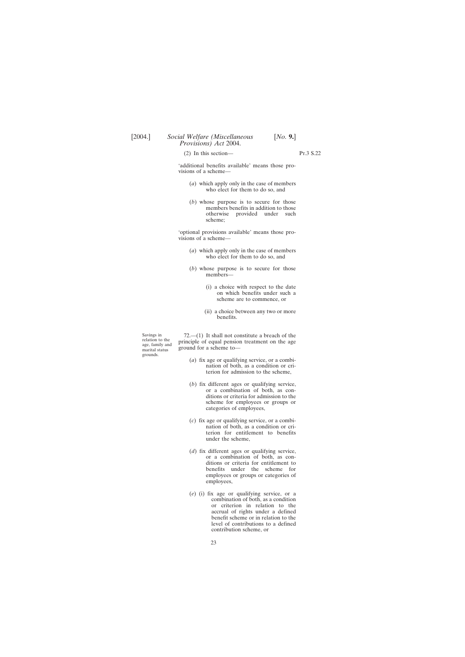(2) In this section—  $\Gamma$ .3 S.22

'additional benefits available' means those provisions of a scheme—

- (*a*) which apply only in the case of members who elect for them to do so, and
- (*b*) whose purpose is to secure for those members benefits in addition to those otherwise provided under such scheme;

'optional provisions available' means those provisions of a scheme—

- (*a*) which apply only in the case of members who elect for them to do so, and
- (*b*) whose purpose is to secure for those members—
	- (i) a choice with respect to the date on which benefits under such a scheme are to commence, or
	- (ii) a choice between any two or more benefits.

grounds.

Savings in  $72$ —(1) It shall not constitute a breach of the relation to the principle of equal pension treatment on the age age, family and ground for a scheme to ground for a scheme to—

- (*a*) fix age or qualifying service, or a combination of both, as a condition or criterion for admission to the scheme,
- (*b*) fix different ages or qualifying service, or a combination of both, as conditions or criteria for admission to the scheme for employees or groups or categories of employees,
- (*c*) fix age or qualifying service, or a combination of both, as a condition or criterion for entitlement to benefits under the scheme,
- (*d*) fix different ages or qualifying service, or a combination of both, as conditions or criteria for entitlement to benefits under the scheme for employees or groups or categories of employees,
- (*e*) (i) fix age or qualifying service, or a combination of both, as a condition or criterion in relation to the accrual of rights under a defined benefit scheme or in relation to the level of contributions to a defined contribution scheme, or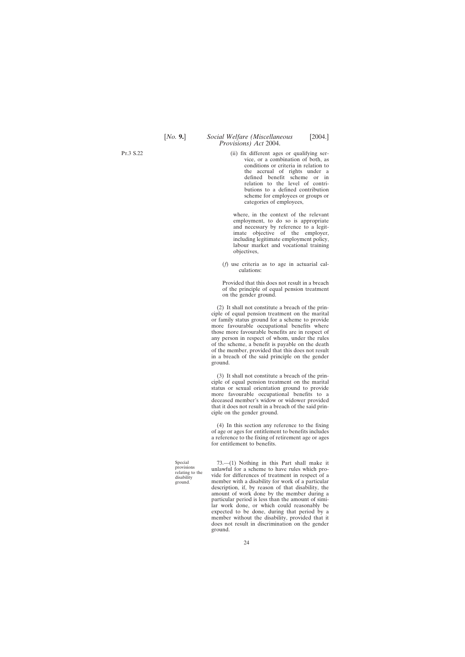Pt.3 S.22

(ii) fix different ages or qualifying service, or a combination of both, as conditions or criteria in relation to the accrual of rights under a defined benefit scheme or in relation to the level of contributions to a defined contribution scheme for employees or groups or categories of employees,

where, in the context of the relevant employment, to do so is appropriate and necessary by reference to a legitimate objective of the employer, including legitimate employment policy, labour market and vocational training objectives,

(*f*) use criteria as to age in actuarial calculations:

Provided that this does not result in a breach of the principle of equal pension treatment on the gender ground.

(2) It shall not constitute a breach of the principle of equal pension treatment on the marital or family status ground for a scheme to provide more favourable occupational benefits where those more favourable benefits are in respect of any person in respect of whom, under the rules of the scheme, a benefit is payable on the death of the member, provided that this does not result in a breach of the said principle on the gender ground.

(3) It shall not constitute a breach of the principle of equal pension treatment on the marital status or sexual orientation ground to provide more favourable occupational benefits to a deceased member's widow or widower provided that it does not result in a breach of the said principle on the gender ground.

(4) In this section any reference to the fixing of age or ages for entitlement to benefits includes a reference to the fixing of retirement age or ages for entitlement to benefits.

Special 73.—(1) Nothing in this Part shall make it provisions<br>provisions unlawful for a scheme to have rules which pro-<br>disability vide for differences of treatment in respect of a<br>ground.<br>member with a disability for work member with a disability for work of a particular description, if, by reason of that disability, the amount of work done by the member during a particular period is less than the amount of similar work done, or which could reasonably be expected to be done, during that period by a member without the disability, provided that it does not result in discrimination on the gender ground.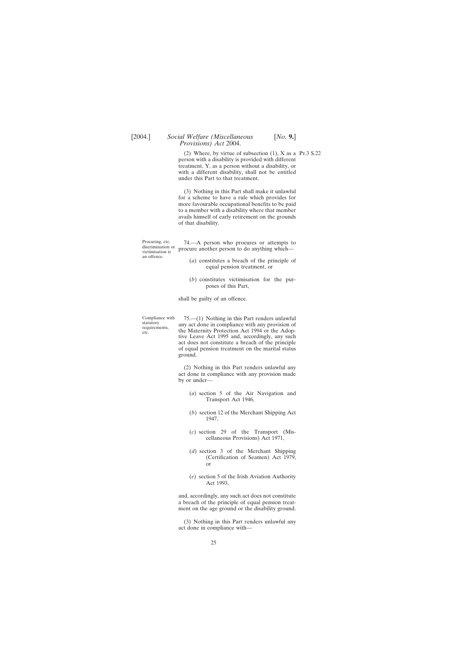(2) Where, by virtue of subsection  $(1)$ , X as a Pr.3 S.22 person with a disability is provided with different treatment, Y, as a person without a disability, or with a different disability, shall not be entitled under this Part to that treatment.

(3) Nothing in this Part shall make it unlawful for a scheme to have a rule which provides for more favourable occupational benefits to be paid to a member with a disability where that member avails himself of early retirement on the grounds of that disability.

Procuring, etc. 74.—A person who procures or attempts to discrimination or procure another person to do anything which—

- (*a*) constitutes a breach of the principle of equal pension treatment, or
- (*b*) constitutes victimisation for the purposes of this Part,

shall be guilty of an offence.

an offence.

Compliance with 75.—(1) Nothing in this Part renders unlawful statutory<br>statutory any act done in compliance with any provision of requirements, the Maternity Protection Act 1994 or the Adoptive Leave Act 1995 and, accordingly, any such act does not constitute a breach of the principle of equal pension treatment on the marital status ground.

> (2) Nothing in this Part renders unlawful any act done in compliance with any provision made by or under—

- (*a*) section 5 of the Air Navigation and Transport Act 1946,
- (*b*) section 12 of the Merchant Shipping Act 1947,
- (*c*) section 29 of the Transport (Miscellaneous Provisions) Act 1971,
- (*d*) section 3 of the Merchant Shipping (Certification of Seamen) Act 1979, or
- (*e*) section 5 of the Irish Aviation Authority Act 1993,

and, accordingly, any such act does not constitute a breach of the principle of equal pension treatment on the age ground or the disability ground.

(3) Nothing in this Part renders unlawful any act done in compliance with—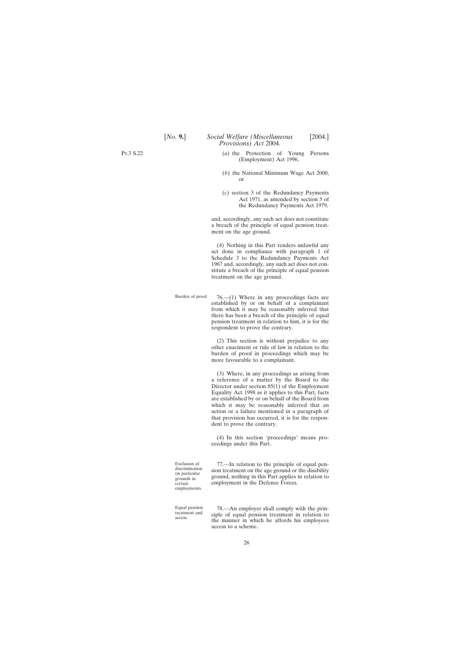- (*a*) the Protection of Young Persons (Employment) Act 1996,
- (*b*) the National Minimum Wage Act 2000, or
- (*c*) section 3 of the Redundancy Payments Act 1971, as amended by section 5 of the Redundancy Payments Act 1979,

and, accordingly, any such act does not constitute a breach of the principle of equal pension treatment on the age ground.

(4) Nothing in this Part renders unlawful any act done in compliance with paragraph 1 of Schedule 3 to the Redundancy Payments Act 1967 and, accordingly, any such act does not constitute a breach of the principle of equal pension treatment on the age ground.

Burden of proof.  $76-(1)$  Where in any proceedings facts are established by or on behalf of a complainant from which it may be reasonably inferred that there has been a breach of the principle of equal pension treatment in relation to him, it is for the respondent to prove the contrary.

> (2) This section is without prejudice to any other enactment or rule of law in relation to the burden of proof in proceedings which may be more favourable to a complainant.

> (3) Where, in any proceedings as arising from a reference of a matter by the Board to the Director under section 85(1) of the Employment Equality Act 1998 as it applies to this Part, facts are established by or on behalf of the Board from which it may be reasonably inferred that an action or a failure mentioned in a paragraph of that provision has occurred, it is for the respondent to prove the contrary.

> (4) In this section 'proceedings' means proceedings under this Part.

employments.

Exclusion of 77.—In relation to the principle of equal pendiscrimination<br>on particular sion treatment on the age ground or the disability<br>grounds in ground, nothing in this Part applies in relation to certain employment in the Defence Forces.

Equal pension 78.—An employer shall comply with the prin-<br>treatment and ciple of equal pension treatment in relation to<br>the manner in which he affords his employees access to a scheme.

Pt.3 S.22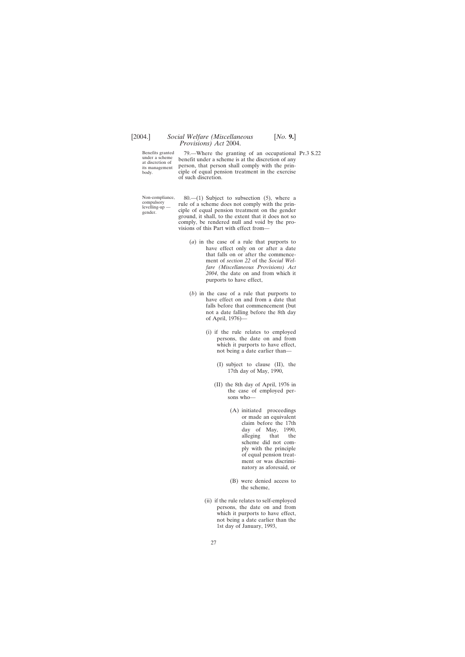Benefits granted 79.—Where the granting of an occupational Pr.3 S.22 under a scheme honofit under a scheme is at the discretion of any under a scheme benefit under a scheme is at the discretion of any at discretion of person, that person shall comply with the prin-<br>body.<br>body. ciple of equal pension treatment in the exercise of such discretion.

Non-compliance, 80.—(1) Subject to subsection (5), where a compulsory rule of a scheme does not comply with the prin-<br>levelling-up — ciple of equal pension treatment on the gender ground, it shall, to the extent that it does not so comply, be rendered null and void by the provisions of this Part with effect from—

- (*a*) in the case of a rule that purports to have effect only on or after a date that falls on or after the commencement of *section 22* of the *Social Welfare (Miscellaneous Provisions) Act 2004*, the date on and from which it purports to have effect,
- (*b*) in the case of a rule that purports to have effect on and from a date that falls before that commencement (but not a date falling before the 8th day of April, 1976)—
	- (i) if the rule relates to employed persons, the date on and from which it purports to have effect, not being a date earlier than—
		- (I) subject to clause (II), the 17th day of May, 1990,
		- (II) the 8th day of April, 1976 in the case of employed persons who—
			- (A) initiated proceedings or made an equivalent claim before the 17th day of May, 1990,<br>alleging that the alleging that the scheme did not comply with the principle of equal pension treatment or was discriminatory as aforesaid, or
			- (B) were denied access to the scheme,
	- (ii) if the rule relates to self-employed persons, the date on and from which it purports to have effect, not being a date earlier than the 1st day of January, 1993,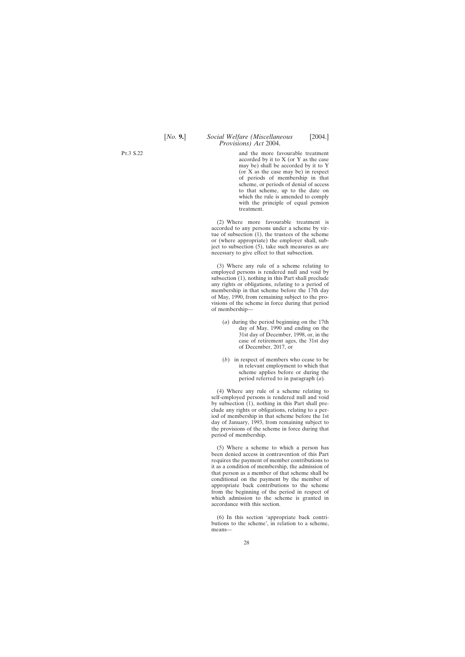and the more favourable treatment accorded by it to X (or Y as the case may be) shall be accorded by it to Y (or X as the case may be) in respect of periods of membership in that scheme, or periods of denial of access to that scheme, up to the date on which the rule is amended to comply with the principle of equal pension treatment.

(2) Where more favourable treatment is accorded to any persons under a scheme by virtue of subsection (1), the trustees of the scheme or (where appropriate) the employer shall, subject to subsection (5), take such measures as are necessary to give effect to that subsection.

(3) Where any rule of a scheme relating to employed persons is rendered null and void by subsection (1), nothing in this Part shall preclude any rights or obligations, relating to a period of membership in that scheme before the 17th day of May, 1990, from remaining subject to the provisions of the scheme in force during that period of membership—

- (*a*) during the period beginning on the 17th day of May, 1990 and ending on the 31st day of December, 1998, or, in the case of retirement ages, the 31st day of December, 2017, or
- (*b*) in respect of members who cease to be in relevant employment to which that scheme applies before or during the period referred to in paragraph (*a*)*.*

(4) Where any rule of a scheme relating to self-employed persons is rendered null and void by subsection (1), nothing in this Part shall preclude any rights or obligations, relating to a period of membership in that scheme before the 1st day of January, 1993, from remaining subject to the provisions of the scheme in force during that period of membership.

(5) Where a scheme to which a person has been denied access in contravention of this Part requires the payment of member contributions to it as a condition of membership, the admission of that person as a member of that scheme shall be conditional on the payment by the member of appropriate back contributions to the scheme from the beginning of the period in respect of which admission to the scheme is granted in accordance with this section.

(6) In this section 'appropriate back contributions to the scheme', in relation to a scheme, means—

Pt.3 S.22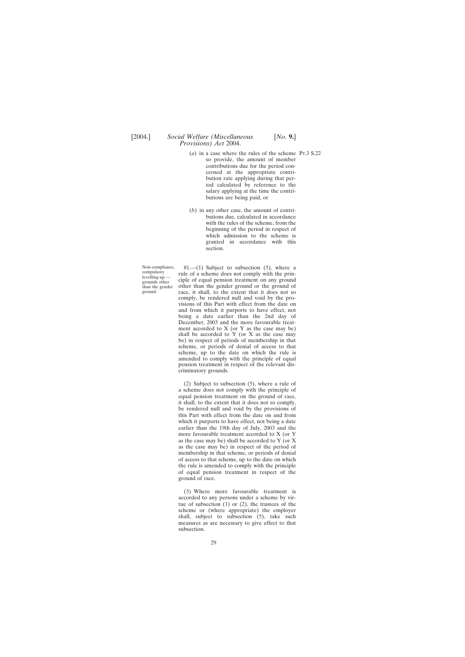- (*a*) in a case where the rules of the scheme Pt.3 S.22 so provide, the amount of member contributions due for the period concerned at the appropriate contribution rate applying during that period calculated by reference to the salary applying at the time the contributions are being paid, or
- (*b*) in any other case, the amount of contributions due, calculated in accordance with the rules of the scheme, from the beginning of the period in respect of which admission to the scheme is granted in accordance with this section.

Non-compliance, 81.—(1) Subject to subsection (5), where a compulsory rule of a scheme does not comply with the prin-<br>grounds other ciple of equal pension treatment on any ground than the gender other than the gender grou than the gender other than the gender ground or the ground of ground. race, it shall, to the extent that it does not so comply, be rendered null and void by the provisions of this Part with effect from the date on and from which it purports to have effect, not being a date earlier than the 2nd day of December, 2003 and the more favourable treatment accorded to X (or Y as the case may be) shall be accorded to  $Y$  (or  $X$  as the case may be) in respect of periods of membership in that scheme, or periods of denial of access to that scheme, up to the date on which the rule is amended to comply with the principle of equal pension treatment in respect of the relevant discriminatory grounds.

> (2) Subject to subsection (5), where a rule of a scheme does not comply with the principle of equal pension treatment on the ground of race, it shall, to the extent that it does not so comply, be rendered null and void by the provisions of this Part with effect from the date on and from which it purports to have effect, not being a date earlier than the 19th day of July, 2003 and the more favourable treatment accorded to X (or Y as the case may be) shall be accorded to Y (or X as the case may be) in respect of the period of membership in that scheme, or periods of denial of access to that scheme, up to the date on which the rule is amended to comply with the principle of equal pension treatment in respect of the ground of race.

> (3) Where more favourable treatment is accorded to any persons under a scheme by virtue of subsection (1) or (2), the trustees of the scheme or (where appropriate) the employer shall, subject to subsection (5), take such measures as are necessary to give effect to that subsection.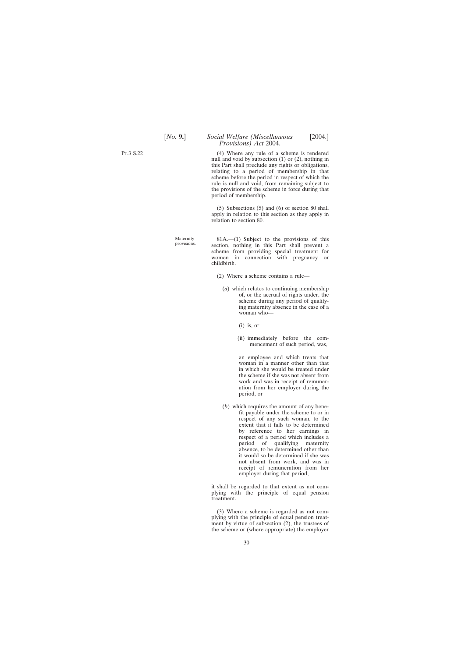(4) Where any rule of a scheme is rendered null and void by subsection (1) or (2), nothing in this Part shall preclude any rights or obligations, relating to a period of membership in that scheme before the period in respect of which the rule is null and void, from remaining subject to the provisions of the scheme in force during that period of membership.

(5) Subsections (5) and (6) of section 80 shall apply in relation to this section as they apply in relation to section 80.

Maternity 81A.—(1) Subject to the provisions of this provisions. section, nothing in this Part shall prevent a scheme from providing special treatment for women in connection with pregnancy or childbirth.

- (2) Where a scheme contains a rule—
	- (*a*) which relates to continuing membership of, or the accrual of rights under, the scheme during any period of qualifying maternity absence in the case of a woman who—
		- (i) is, or
		- (ii) immediately before the commencement of such period, was,

an employee and which treats that woman in a manner other than that in which she would be treated under the scheme if she was not absent from work and was in receipt of remuneration from her employer during the period, or

(*b*) which requires the amount of any benefit payable under the scheme to or in respect of any such woman, to the extent that it falls to be determined by reference to her earnings in respect of a period which includes a period of qualifying maternity absence, to be determined other than it would so be determined if she was not absent from work, and was in receipt of remuneration from her employer during that period,

it shall be regarded to that extent as not complying with the principle of equal pension treatment.

(3) Where a scheme is regarded as not complying with the principle of equal pension treatment by virtue of subsection (2), the trustees of the scheme or (where appropriate) the employer

Pt.3 S.22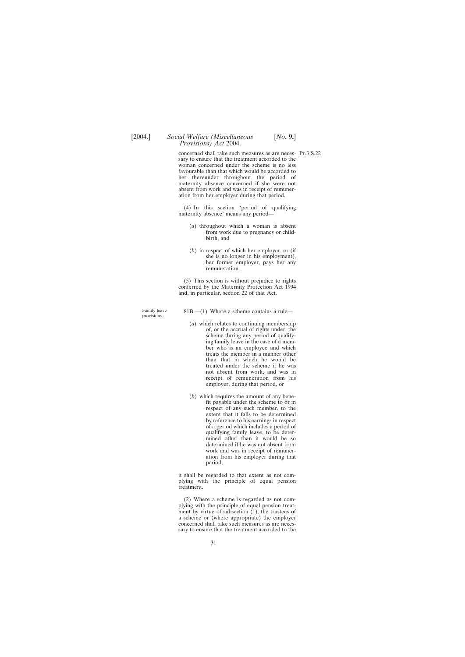*Provisions) Act* 2004.

concerned shall take such measures as are neces- Pr.3 S.22 sary to ensure that the treatment accorded to the woman concerned under the scheme is no less favourable than that which would be accorded to her thereunder throughout the period of maternity absence concerned if she were not absent from work and was in receipt of remuneration from her employer during that period.

(4) In this section 'period of qualifying maternity absence' means any period—

- (*a*) throughout which a woman is absent from work due to pregnancy or childbirth, and
- (*b*) in respect of which her employer, or (if she is no longer in his employment), her former employer, pays her any remuneration.

(5) This section is without prejudice to rights conferred by the Maternity Protection Act 1994 and, in particular, section 22 of that Act.

Family leave 81B.—(1) Where a scheme contains a rule—<br>provisions.

- (*a*) which relates to continuing membership of, or the accrual of rights under, the scheme during any period of qualifying family leave in the case of a member who is an employee and which treats the member in a manner other than that in which he would be treated under the scheme if he was not absent from work, and was in receipt of remuneration from his employer, during that period, or
- (*b*) which requires the amount of any benefit payable under the scheme to or in respect of any such member, to the extent that it falls to be determined by reference to his earnings in respect of a period which includes a period of qualifying family leave, to be determined other than it would be so determined if he was not absent from work and was in receipt of remuneration from his employer during that period,

it shall be regarded to that extent as not complying with the principle of equal pension treatment.

(2) Where a scheme is regarded as not complying with the principle of equal pension treatment by virtue of subsection (1), the trustees of a scheme or (where appropriate) the employer concerned shall take such measures as are necessary to ensure that the treatment accorded to the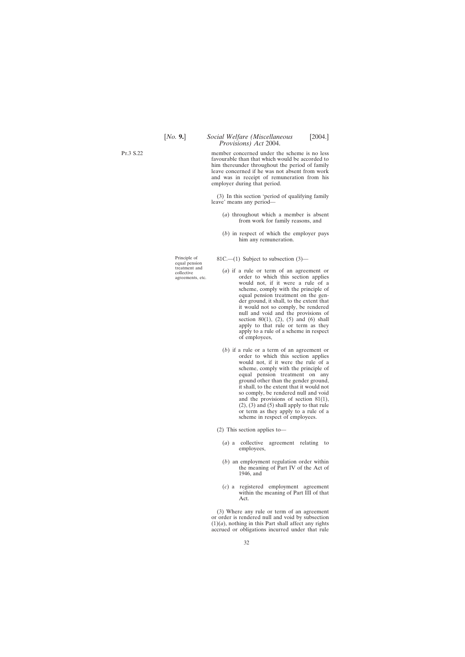> member concerned under the scheme is no less favourable than that which would be accorded to him thereunder throughout the period of family leave concerned if he was not absent from work and was in receipt of remuneration from his employer during that period.

> (3) In this section 'period of qualifying family leave' means any period—

- (*a*) throughout which a member is absent from work for family reasons, and
- (*b*) in respect of which the employer pays him any remuneration.

Principle of 81C.—(1) Subject to subsection (3)—<br>equal pension<br>treatment and

- treatment and (*a*) if a rule or term of an agreement or collective agreements, etc. order to which this section applies order to which this section applies would not, if it were a rule of a scheme, comply with the principle of equal pension treatment on the gender ground, it shall, to the extent that it would not so comply, be rendered null and void and the provisions of section 80(1), (2), (5) and (6) shall apply to that rule or term as they apply to a rule of a scheme in respect of employees,
	- (*b*) if a rule or a term of an agreement or order to which this section applies would not, if it were the rule of a scheme, comply with the principle of equal pension treatment on any ground other than the gender ground, it shall, to the extent that it would not so comply, be rendered null and void and the provisions of section 81(1), (2), (3) and (5) shall apply to that rule or term as they apply to a rule of a scheme in respect of employees.
	- (2) This section applies to—
		- (*a*) a collective agreement relating to employees,
		- (*b*) an employment regulation order within the meaning of Part IV of the Act of 1946, and
		- (*c*) a registered employment agreement within the meaning of Part III of that Act.

(3) Where any rule or term of an agreement or order is rendered null and void by subsection  $(1)(a)$ , nothing in this Part shall affect any rights accrued or obligations incurred under that rule

Pt.3 S.22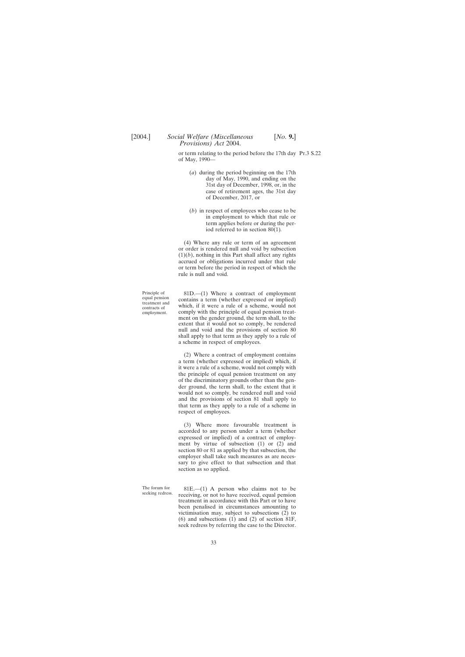or term relating to the period before the 17th day Pt.3 S.22 of May, 1990—

- (*a*) during the period beginning on the 17th day of May, 1990, and ending on the 31st day of December, 1998, or, in the case of retirement ages, the 31st day of December, 2017, or
- (*b*) in respect of employees who cease to be in employment to which that rule or term applies before or during the period referred to in section 80(1)*.*

(4) Where any rule or term of an agreement or order is rendered null and void by subsection  $(1)(b)$ , nothing in this Part shall affect any rights accrued or obligations incurred under that rule or term before the period in respect of which the rule is null and void.

Principle of 81D.—(1) Where a contract of employment equal pension contains a term (whether expressed or implied) treatment and which, if it were a rule of a scheme, would not employment. comply with the principle of equal comply with the principle of equal pension treatment on the gender ground, the term shall, to the extent that it would not so comply, be rendered null and void and the provisions of section 80 shall apply to that term as they apply to a rule of a scheme in respect of employees.

> (2) Where a contract of employment contains a term (whether expressed or implied) which, if it were a rule of a scheme, would not comply with the principle of equal pension treatment on any of the discriminatory grounds other than the gender ground, the term shall, to the extent that it would not so comply, be rendered null and void and the provisions of section 81 shall apply to that term as they apply to a rule of a scheme in respect of employees.

> (3) Where more favourable treatment is accorded to any person under a term (whether expressed or implied) of a contract of employment by virtue of subsection (1) or (2) and section 80 or 81 as applied by that subsection, the employer shall take such measures as are necessary to give effect to that subsection and that section as so applied.

The forum for  $81E$ —(1) A person who claims not to be seeking redress. receiving, or not to have received, equal pension treatment in accordance with this Part or to have been penalised in circumstances amounting to victimisation may, subject to subsections (2) to (6) and subsections (1) and (2) of section 81F, seek redress by referring the case to the Director.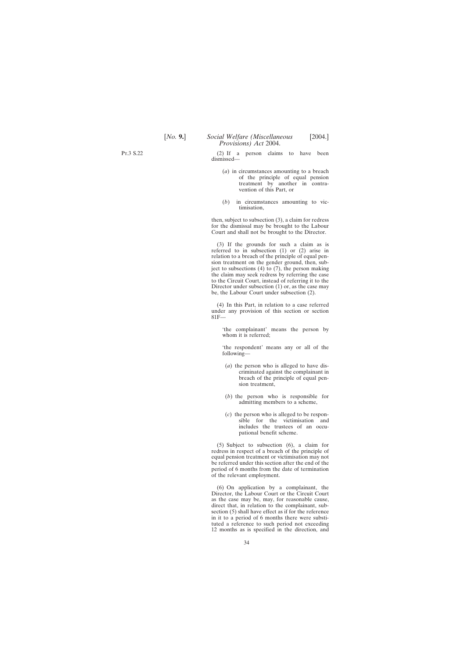Pt.3 S.22

(2) If a person claims to have been dismissed—

- (*a*) in circumstances amounting to a breach of the principle of equal pension treatment by another in contravention of this Part, or
- (*b*) in circumstances amounting to victimisation,

then, subject to subsection (3), a claim for redress for the dismissal may be brought to the Labour Court and shall not be brought to the Director.

(3) If the grounds for such a claim as is referred to in subsection (1) or (2) arise in relation to a breach of the principle of equal pension treatment on the gender ground, then, subject to subsections (4) to (7), the person making the claim may seek redress by referring the case to the Circuit Court, instead of referring it to the Director under subsection (1) or, as the case may be, the Labour Court under subsection (2).

(4) In this Part, in relation to a case referred under any provision of this section or section 81F—

'the complainant' means the person by whom it is referred;

'the respondent' means any or all of the following—

- (*a*) the person who is alleged to have discriminated against the complainant in breach of the principle of equal pension treatment,
- (*b*) the person who is responsible for admitting members to a scheme,
- (*c*) the person who is alleged to be responsible for the victimisation and includes the trustees of an occupational benefit scheme.

(5) Subject to subsection (6), a claim for redress in respect of a breach of the principle of equal pension treatment or victimisation may not be referred under this section after the end of the period of 6 months from the date of termination of the relevant employment.

(6) On application by a complainant, the Director, the Labour Court or the Circuit Court as the case may be, may, for reasonable cause, direct that, in relation to the complainant, subsection (5) shall have effect as if for the reference in it to a period of 6 months there were substituted a reference to such period not exceeding 12 months as is specified in the direction, and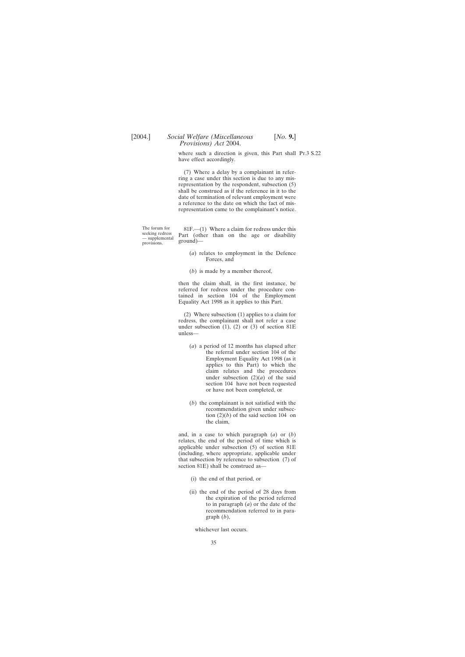where such a direction is given, this Part shall Pr.3 S.22 have effect accordingly.

(7) Where a delay by a complainant in referring a case under this section is due to any misrepresentation by the respondent, subsection (5) shall be construed as if the reference in it to the date of termination of relevant employment were a reference to the date on which the fact of misrepresentation came to the complainant's notice.

The forum for 81F.—(1) Where a claim for redress under this seeking redress Part (other than on the age or disability provisions.  $ground$ )—

- (*a*) relates to employment in the Defence Forces, and
- (*b*) is made by a member thereof,

then the claim shall, in the first instance, be referred for redress under the procedure contained in section 104 of the Employment Equality Act 1998 as it applies to this Part.

(2) Where subsection (1) applies to a claim for redress, the complainant shall not refer a case under subsection  $(1)$ ,  $(2)$  or  $(3)$  of section 81E unless—

- (*a*) a period of 12 months has elapsed after the referral under section 104 of the Employment Equality Act 1998 (as it applies to this Part) to which the claim relates and the procedures under subsection  $(2)(a)$  of the said section 104 have not been requested or have not been completed, or
- (*b*) the complainant is not satisfied with the recommendation given under subsection  $(2)(b)$  of the said section 104 on the claim,

and, in a case to which paragraph (*a*) or (*b*) relates, the end of the period of time which is applicable under subsection (5) of section 81E (including, where appropriate, applicable under that subsection by reference to subsection (7) of section 81E) shall be construed as—

- (i) the end of that period, or
- (ii) the end of the period of 28 days from the expiration of the period referred to in paragraph (*a*) or the date of the recommendation referred to in paragraph (*b*),

whichever last occurs.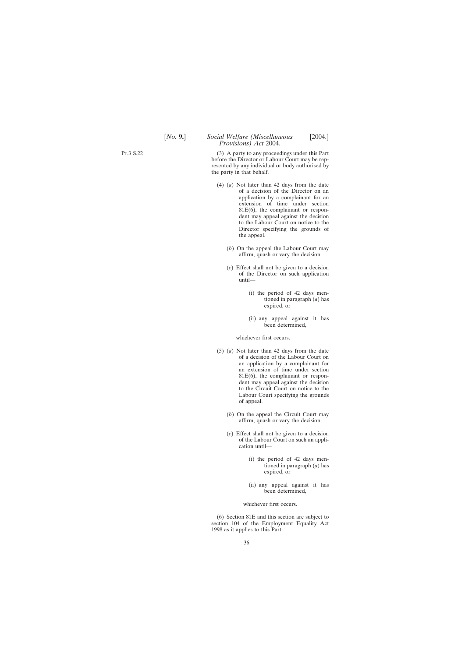(3) A party to any proceedings under this Part before the Director or Labour Court may be represented by any individual or body authorised by the party in that behalf.

- (4) (*a*) Not later than 42 days from the date of a decision of the Director on an application by a complainant for an extension of time under section 81E(6), the complainant or respondent may appeal against the decision to the Labour Court on notice to the Director specifying the grounds of the appeal.
	- (*b*) On the appeal the Labour Court may affirm, quash or vary the decision.
	- (*c*) Effect shall not be given to a decision of the Director on such application until—
		- (i) the period of 42 days mentioned in paragraph (*a*) has expired, or
		- (ii) any appeal against it has been determined,

whichever first occurs.

- (5) (*a*) Not later than 42 days from the date of a decision of the Labour Court on an application by a complainant for an extension of time under section 81E(6), the complainant or respondent may appeal against the decision to the Circuit Court on notice to the Labour Court specifying the grounds of appeal.
	- (*b*) On the appeal the Circuit Court may affirm, quash or vary the decision.
	- (*c*) Effect shall not be given to a decision of the Labour Court on such an application until—
		- (i) the period of 42 days mentioned in paragraph (*a*) has expired, or
		- (ii) any appeal against it has been determined,

whichever first occurs.

(6) Section 81E and this section are subject to section 104 of the Employment Equality Act 1998 as it applies to this Part.

Pt.3 S.22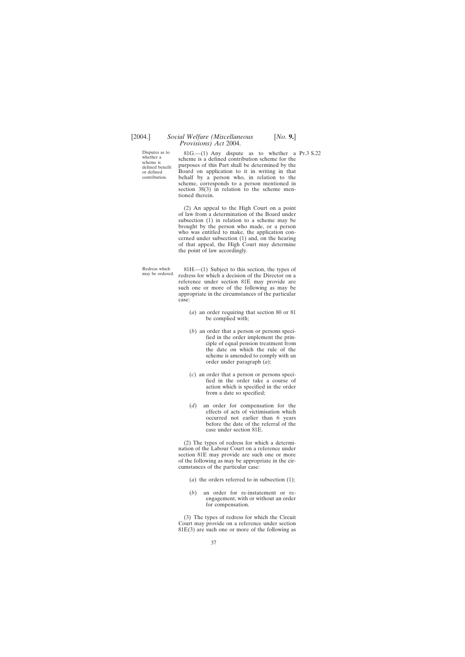Disputes as to  $81G$ —(1) Any dispute as to whether a Pr.3 S.22 whether a scheme is a defined contribution scheme for the whether a scheme is a defined contribution scheme for the scheme is purposes of this Part shall be determined by the defined benefit benefited benefit benefited benefit. or defined Board on application to it in writing in that<br>contribution. <br>behalf by a person who in relation to the behalf by a person who, in relation to the scheme, corresponds to a person mentioned in section 38(3) in relation to the scheme mentioned therein.

> (2) An appeal to the High Court on a point of law from a determination of the Board under subsection (1) in relation to a scheme may be brought by the person who made, or a person who was entitled to make, the application concerned under subsection (1) and, on the hearing of that appeal, the High Court may determine the point of law accordingly.

Redress which 81H.—(1) Subject to this section, the types of may be ordered. redress for which a decision of the Director on a reference under section 81E may provide are such one or more of the following as may be appropriate in the circumstances of the particular case:

- (*a*) an order requiring that section 80 or 81 be complied with;
- (*b*) an order that a person or persons specified in the order implement the principle of equal pension treatment from the date on which the rule of the scheme is amended to comply with an order under paragraph (*a*);
- (*c*) an order that a person or persons specified in the order take a course of action which is specified in the order from a date so specified;
- (*d*) an order for compensation for the effects of acts of victimisation which occurred not earlier than 6 years before the date of the referral of the case under section 81E.

(2) The types of redress for which a determination of the Labour Court on a reference under section 81E may provide are such one or more of the following as may be appropriate in the circumstances of the particular case:

- (*a*) the orders referred to in subsection (1);
- (*b*) an order for re-instatement or reengagement, with or without an order for compensation.

(3) The types of redress for which the Circuit Court may provide on a reference under section  $81E(3)$  are such one or more of the following as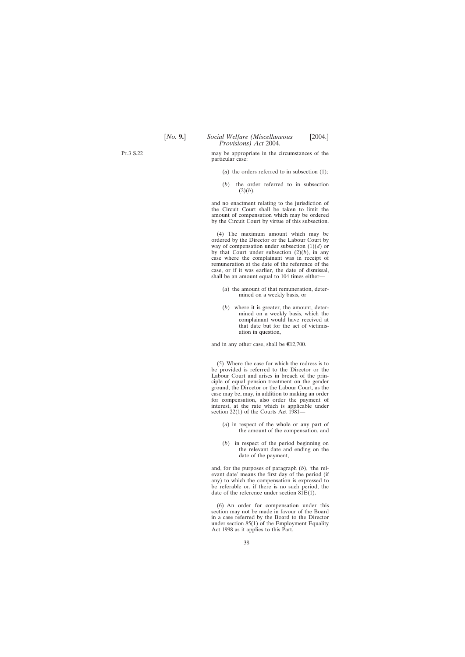Pt.3 S.22

may be appropriate in the circumstances of the particular case:

- (*a*) the orders referred to in subsection (1);
- (*b*) the order referred to in subsection  $(2)(b)$ ,

and no enactment relating to the jurisdiction of the Circuit Court shall be taken to limit the amount of compensation which may be ordered by the Circuit Court by virtue of this subsection.

(4) The maximum amount which may be ordered by the Director or the Labour Court by way of compensation under subsection (1)(*d*) or by that Court under subsection (2)(*b*), in any case where the complainant was in receipt of remuneration at the date of the reference of the case, or if it was earlier, the date of dismissal, shall be an amount equal to 104 times either—

- (*a*) the amount of that remuneration, determined on a weekly basis, or
- (*b*) where it is greater, the amount, determined on a weekly basis, which the complainant would have received at that date but for the act of victimisation in question,

and in any other case, shall be  $\epsilon$ 12,700.

(5) Where the case for which the redress is to be provided is referred to the Director or the Labour Court and arises in breach of the principle of equal pension treatment on the gender ground, the Director or the Labour Court, as the case may be, may, in addition to making an order for compensation, also order the payment of interest, at the rate which is applicable under section 22(1) of the Courts Act 1981—

- (*a*) in respect of the whole or any part of the amount of the compensation, and
- (*b*) in respect of the period beginning on the relevant date and ending on the date of the payment,

and, for the purposes of paragraph (*b*), 'the relevant date' means the first day of the period (if any) to which the compensation is expressed to be referable or, if there is no such period, the date of the reference under section  $81E(1)$ .

(6) An order for compensation under this section may not be made in favour of the Board in a case referred by the Board to the Director under section 85(1) of the Employment Equality Act 1998 as it applies to this Part.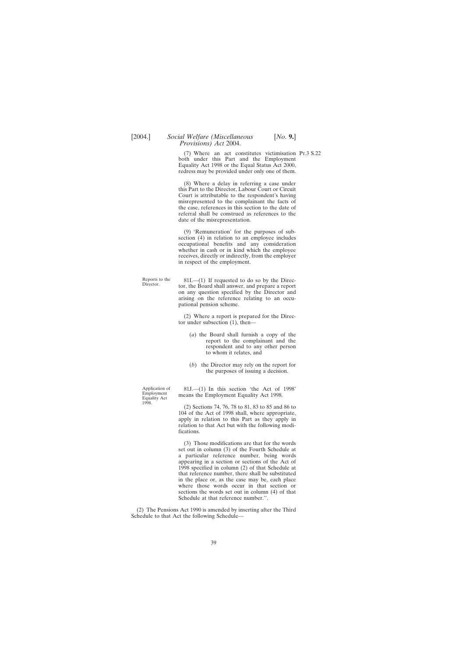(7) Where an act constitutes victimisation Pt.3 S.22 both under this Part and the Employment Equality Act 1998 or the Equal Status Act 2000, redress may be provided under only one of them.

(8) Where a delay in referring a case under this Part to the Director, Labour Court or Circuit Court is attributable to the respondent's having misrepresented to the complainant the facts of the case, references in this section to the date of referral shall be construed as references to the date of the misrepresentation.

(9) 'Remuneration' for the purposes of subsection (4) in relation to an employee includes occupational benefits and any consideration whether in cash or in kind which the employee receives, directly or indirectly, from the employer in respect of the employment.

Reports to the 81I.—(1) If requested to do so by the Direc-<br>Director. tor, the Board shall answer, and prepare a report on any question specified by the Director and arising on the reference relating to an occupational pension scheme.

> (2) Where a report is prepared for the Director under subsection (1), then—

- (*a*) the Board shall furnish a copy of the report to the complainant and the respondent and to any other person to whom it relates, and
- (*b*) the Director may rely on the report for the purposes of issuing a decision.

Application of 81J.—(1) In this section 'the Act of 1998' Employment Equality Act 1998.

(2) Sections 74, 76, 78 to 81, 83 to 85 and 86 to 104 of the Act of 1998 shall, where appropriate, apply in relation to this Part as they apply in relation to that Act but with the following modifications.

(3) Those modifications are that for the words set out in column (3) of the Fourth Schedule at a particular reference number, being words appearing in a section or sections of the Act of 1998 specified in column (2) of that Schedule at that reference number, there shall be substituted in the place or, as the case may be, each place where those words occur in that section or sections the words set out in column (4) of that Schedule at that reference number.''.

(2) The Pensions Act 1990 is amended by inserting after the Third Schedule to that Act the following Schedule—

1998.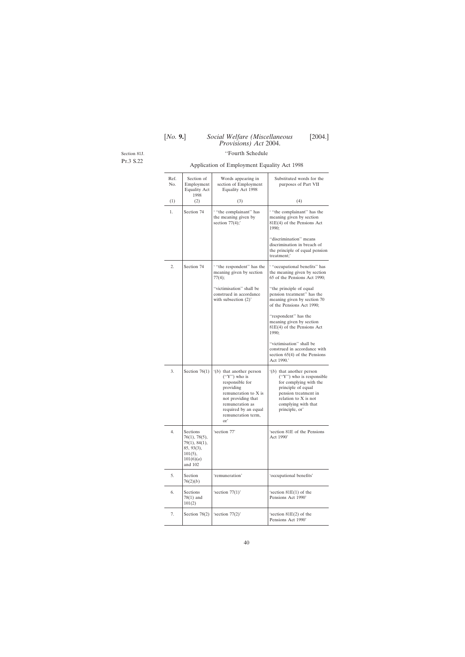Section 81J.

Pt.3 S.22

# ''Fourth Schedule

# Application of Employment Equality Act 1998

| Ref.<br>No. | Section of<br>Employment<br><b>Equality Act</b><br>1998                                               | Words appearing in<br>section of Employment<br>Equality Act 1998                                                                                                                                                     | Substituted words for the<br>purposes of Part VII                                                                                                                                                 |
|-------------|-------------------------------------------------------------------------------------------------------|----------------------------------------------------------------------------------------------------------------------------------------------------------------------------------------------------------------------|---------------------------------------------------------------------------------------------------------------------------------------------------------------------------------------------------|
| (1)         | (2)                                                                                                   | (3)                                                                                                                                                                                                                  | (4)                                                                                                                                                                                               |
| 1.          | Section 74                                                                                            | "the complainant" has<br>the meaning given by<br>section $77(4)$ ;                                                                                                                                                   | "the complainant" has the<br>meaning given by section<br>81E(4) of the Pensions Act<br>1990;                                                                                                      |
|             |                                                                                                       |                                                                                                                                                                                                                      | "discrimination" means<br>discrimination in breach of<br>the principle of equal pension<br>treatment;'                                                                                            |
| 2.          | Section 74                                                                                            | "the respondent" has the<br>meaning given by section<br>77(4);                                                                                                                                                       | "cccupational benefits" has<br>the meaning given by section<br>65 of the Pensions Act 1990;                                                                                                       |
|             |                                                                                                       | "victimisation" shall be<br>construed in accordance<br>with subsection $(2)$ <sup>'</sup>                                                                                                                            | "the principle of equal<br>pension treatment" has the<br>meaning given by section 70<br>of the Pensions Act 1990;                                                                                 |
|             |                                                                                                       |                                                                                                                                                                                                                      | "respondent" has the<br>meaning given by section<br>81E(4) of the Pensions Act<br>1990;                                                                                                           |
|             |                                                                                                       |                                                                                                                                                                                                                      | "victimisation" shall be<br>construed in accordance with<br>section $65(4)$ of the Pensions<br>Act 1990.'                                                                                         |
| 3.          | Section $76(1)$                                                                                       | $'(b)$ that another person<br>$("Y")$ who is<br>responsible for<br>providing<br>remuneration to X is<br>not providing that<br>remuneration as<br>required by an equal<br>remuneration term,<br>$\alpha$ <sup>'</sup> | $'(b)$ that another person<br>$('Y")$ who is responsible<br>for complying with the<br>principle of equal<br>pension treatment in<br>relation to X is not<br>complying with that<br>principle, or' |
| 4.          | <b>Sections</b><br>76(1), 78(5),<br>79(1), 84(1),<br>85, 93(3),<br>$101(5)$ ,<br>101(6)(a)<br>and 102 | 'section 77'                                                                                                                                                                                                         | 'section 81E of the Pensions<br>Act 1990'                                                                                                                                                         |
| 5.          | Section<br>76(2)(b)                                                                                   | 'remuneration'                                                                                                                                                                                                       | 'occupational benefits'                                                                                                                                                                           |
| 6.          | Sections<br>$78(1)$ and<br>101(2)                                                                     | 'section $77(1)$ '                                                                                                                                                                                                   | 'section 81E(1) of the<br>Pensions Act 1990'                                                                                                                                                      |
| 7.          | Section $78(2)$                                                                                       | 'section $77(2)$ '                                                                                                                                                                                                   | 'section 81E(2) of the<br>Pensions Act 1990'                                                                                                                                                      |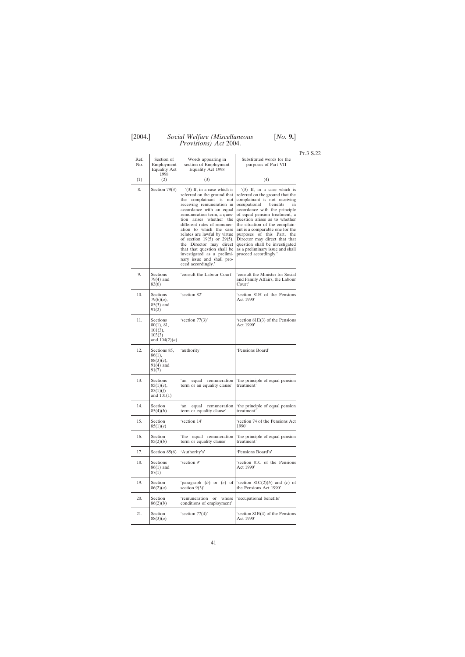| Ref.<br>No. | Section of<br>Employment<br><b>Equality Act</b>                   | Words appearing in<br>section of Employment<br>Equality Act 1998                                                                                                                                                                                                                                                                                                                                                                                                                | Substituted words for the<br>purposes of Part VII                                                                                                                                                                                                                                                                                                                                                                                                                       | PT.3 S.22 |
|-------------|-------------------------------------------------------------------|---------------------------------------------------------------------------------------------------------------------------------------------------------------------------------------------------------------------------------------------------------------------------------------------------------------------------------------------------------------------------------------------------------------------------------------------------------------------------------|-------------------------------------------------------------------------------------------------------------------------------------------------------------------------------------------------------------------------------------------------------------------------------------------------------------------------------------------------------------------------------------------------------------------------------------------------------------------------|-----------|
| (1)         | 1998<br>(2)                                                       | (3)                                                                                                                                                                                                                                                                                                                                                                                                                                                                             | (4)                                                                                                                                                                                                                                                                                                                                                                                                                                                                     |           |
| 8.          | Section $79(3)$                                                   | $(3)$ If, in a case which is<br>referred on the ground that<br>the complainant is not<br>receiving remuneration in<br>accordance with an equal<br>remuneration term, a ques-<br>tion arises whether the<br>different rates of remuner-<br>ation to which the case<br>relates are lawful by virtue<br>of section $19(5)$ or $29(5)$ ,<br>the Director may direct<br>that that question shall be<br>investigated as a prelimi-<br>nary issue and shall pro-<br>ceed accordingly.' | $(3)$ If, in a case which is<br>referred on the ground that the<br>complainant is not receiving<br>occupational<br>benefits<br>in<br>accordance with the principle<br>of equal pension treatment, a<br>question arises as to whether<br>the situation of the complain-<br>ant is a comparable one for the<br>purposes of this Part, the<br>Director may direct that that<br>question shall be investigated<br>as a preliminary issue and shall<br>proceed accordingly.' |           |
| 9.          | Sections<br>$79(4)$ and<br>83(6)                                  | 'consult the Labour Court'                                                                                                                                                                                                                                                                                                                                                                                                                                                      | 'consult the Minister for Social<br>and Family Affairs, the Labour<br>Court'                                                                                                                                                                                                                                                                                                                                                                                            |           |
| 10.         | <b>Sections</b><br>$79(6)(a)$ ,<br>85(3) and<br>91(2)             | 'section 82'                                                                                                                                                                                                                                                                                                                                                                                                                                                                    | 'section 81H of the Pensions<br>Act 1990'                                                                                                                                                                                                                                                                                                                                                                                                                               |           |
| 11.         | Sections<br>80(1), 81,<br>$101(3)$ ,<br>103(3)<br>and $104(2)(a)$ | 'section $77(3)$ '                                                                                                                                                                                                                                                                                                                                                                                                                                                              | 'section $81E(3)$ of the Pensions<br>Act 1990'                                                                                                                                                                                                                                                                                                                                                                                                                          |           |
| 12.         | Sections 85,<br>86(1),<br>$88(3)(c)$ ,<br>$91(4)$ and<br>91(7)    | 'authority'                                                                                                                                                                                                                                                                                                                                                                                                                                                                     | 'Pensions Board'                                                                                                                                                                                                                                                                                                                                                                                                                                                        |           |
| 13.         | Sections<br>$85(1)(c)$ ,<br>85(1)(f)<br>and $101(1)$              | remuneration<br>ʻan<br>equal<br>term or an equality clause'                                                                                                                                                                                                                                                                                                                                                                                                                     | 'the principle of equal pension<br>treatment'                                                                                                                                                                                                                                                                                                                                                                                                                           |           |
| 14.         | Section<br>85(4)(b)                                               | ʻan<br>equal<br>remuneration<br>term or equality clause'                                                                                                                                                                                                                                                                                                                                                                                                                        | 'the principle of equal pension<br>treatment'                                                                                                                                                                                                                                                                                                                                                                                                                           |           |
| 15.         | Section<br>85(1)(e)                                               | 'section 14'                                                                                                                                                                                                                                                                                                                                                                                                                                                                    | 'section 74 of the Pensions Act<br>1990'                                                                                                                                                                                                                                                                                                                                                                                                                                |           |
| 16.         | Section<br>85(2)(b)                                               | 'the equal remuneration<br>term or equality clause'                                                                                                                                                                                                                                                                                                                                                                                                                             | 'the principle of equal pension<br>treatment'                                                                                                                                                                                                                                                                                                                                                                                                                           |           |
| 17.         | Section $85(6)$                                                   | 'Authority's'                                                                                                                                                                                                                                                                                                                                                                                                                                                                   | 'Pensions Board's'                                                                                                                                                                                                                                                                                                                                                                                                                                                      |           |
| 18.         | Sections<br>$86(1)$ and<br>87(1)                                  | 'section 9'                                                                                                                                                                                                                                                                                                                                                                                                                                                                     | 'section 81C of the Pensions<br>Act 1990'                                                                                                                                                                                                                                                                                                                                                                                                                               |           |
| 19.         | Section<br>86(2)(a)                                               | 'paragraph $(b)$ or $(c)$ of<br>section $9(3)$ '                                                                                                                                                                                                                                                                                                                                                                                                                                | 'section $81C(2)(b)$ and (c) of<br>the Pensions Act 1990'                                                                                                                                                                                                                                                                                                                                                                                                               |           |
| 20.         | Section<br>86(2)(b)                                               | 'remuneration<br>whose<br>or<br>conditions of employment'                                                                                                                                                                                                                                                                                                                                                                                                                       | 'occupational benefits'                                                                                                                                                                                                                                                                                                                                                                                                                                                 |           |
| 21.         | Section<br>88(3)(a)                                               | 'section $77(4)$ '                                                                                                                                                                                                                                                                                                                                                                                                                                                              | 'section $81E(4)$ of the Pensions<br>Act 1990'                                                                                                                                                                                                                                                                                                                                                                                                                          |           |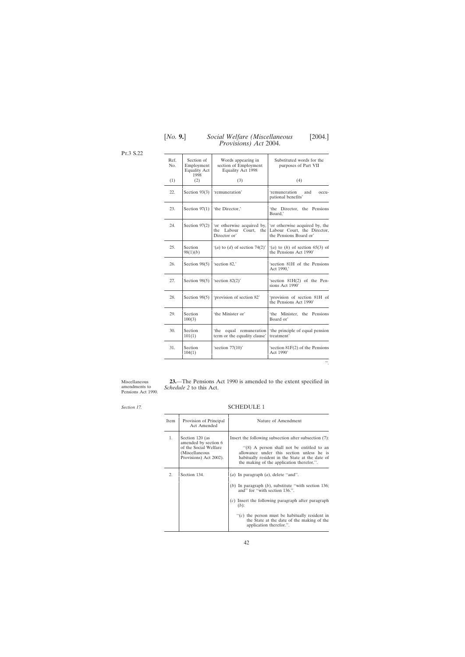| Ref.<br>No. | Section of<br>Employment<br><b>Equality Act</b><br>1998 | Words appearing in<br>section of Employment<br>Equality Act 1998          | Substituted words for the<br>purposes of Part VII                                       |
|-------------|---------------------------------------------------------|---------------------------------------------------------------------------|-----------------------------------------------------------------------------------------|
| (1)         | (2)                                                     | (3)                                                                       | (4)                                                                                     |
| 22.         | Section $93(3)$                                         | 'remuneration'                                                            | 'remuneration<br>and<br>$OCCU1 -$<br>pational benefits'                                 |
| 23.         | Section $97(1)$                                         | 'the Director,'                                                           | 'the Director, the Pensions<br>Board.'                                                  |
| 24.         | Section $97(2)$                                         | 'or otherwise acquired by,<br>the Labour<br>Court,<br>the<br>Director or' | 'or otherwise acquired by, the<br>Labour Court, the Director,<br>the Pensions Board or' |
| 25.         | Section<br>98(1)(b)                                     | $'(a)$ to $(d)$ of section 74(2)'                                         | $(a)$ to $(h)$ of section 65(3) of<br>the Pensions Act 1990'                            |
| 26.         | Section $98(5)$                                         | 'section 82,'                                                             | 'section 81H of the Pensions<br>Act 1990,'                                              |
| 27.         | Section $98(5)$                                         | 'section $82(2)$ '                                                        | 'section $81H(2)$ of the Pen-<br>sions Act 1990'                                        |
| 28.         | Section $98(5)$                                         | 'provision of section 82'                                                 | 'provision of section 81H of<br>the Pensions Act 1990'                                  |
| 29.         | Section<br>100(3)                                       | 'the Minister or'                                                         | 'the Minister, the Pensions<br>Board or'                                                |
| 30.         | Section<br>101(1)                                       | equal remuneration<br>the<br>term or the equality clause'                 | the principle of equal pension<br>treatment'                                            |
| 31.         | Section<br>104(1)                                       | 'section $77(10)$ '                                                       | 'section $81F(2)$ of the Pensions<br>Act 1990'                                          |
|             |                                                         |                                                                           | ".                                                                                      |

<span id="page-41-0"></span>Pt.3 S.22

Miscellaneous amendments to Pensions Act 1990.

*Section 17.*

*Schedule 2* to this Act.

SCHEDULE 1

**23.**—The Pensions Act 1990 is amended to the extent specified in

| Item | Provision of Principal<br>Act Amended                                                                        | Nature of Amendment                                                                                                                                                                                                                                                                                                                         |
|------|--------------------------------------------------------------------------------------------------------------|---------------------------------------------------------------------------------------------------------------------------------------------------------------------------------------------------------------------------------------------------------------------------------------------------------------------------------------------|
| 1.   | Section 120 (as<br>amended by section 6<br>of the Social Welfare<br>(Miscellaneous<br>Provisions) Act 2002). | Insert the following subsection after subsection (7):<br>"(8) A person shall not be entitled to an<br>allowance under this section unless he is<br>habitually resident in the State at the date of<br>the making of the application therefor.".                                                                                             |
| 2.   | Section 134.                                                                                                 | ( <i>a</i> ) In paragraph $(a)$ , delete "and".<br>(b) In paragraph $(b)$ , substitute "with section 136;<br>and" for "with section 136.".<br>$(c)$ Insert the following paragraph after paragraph<br>$(b)$ :<br>" $(c)$ the person must be habitually resident in<br>the State at the date of the making of the<br>application therefor.". |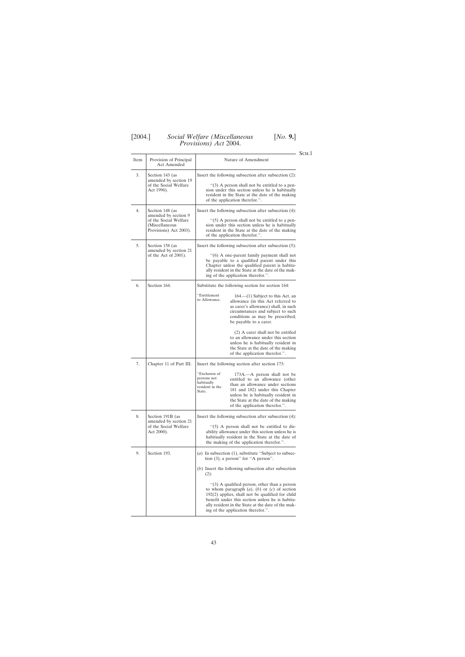Sch.1

| Item | Provision of Principal<br><b>Act Amended</b>                                                                 | Nature of Amendment                                                                                                                                                                                                                                                                                                                                                           |
|------|--------------------------------------------------------------------------------------------------------------|-------------------------------------------------------------------------------------------------------------------------------------------------------------------------------------------------------------------------------------------------------------------------------------------------------------------------------------------------------------------------------|
| 3.   | Section 143 (as<br>amended by section 19<br>of the Social Welfare<br>Act 1996).                              | Insert the following subsection after subsection (2):<br>"(3) A person shall not be entitled to a pen-<br>sion under this section unless he is habitually<br>resident in the State at the date of the making<br>of the application therefor.".                                                                                                                                |
| 4.   | Section 148 (as<br>amended by section 9<br>of the Social Welfare<br>(Miscellaneous<br>Provisions) Act 2003). | Insert the following subsection after subsection (4):<br>$\cdot$ (5) A person shall not be entitled to a pen-<br>sion under this section unless he is habitually<br>resident in the State at the date of the making<br>of the application therefor.".                                                                                                                         |
| 5.   | Section 158 (as<br>amended by section 21<br>of the Act of 2001).                                             | Insert the following subsection after subsection (5):<br>"(6) A one-parent family payment shall not<br>be payable to a qualified parent under this<br>Chapter unless the qualified parent is habitu-<br>ally resident in the State at the date of the mak-<br>ing of the application therefor.".                                                                              |
| 6.   | Section 164.                                                                                                 | Substitute the following section for section 164:                                                                                                                                                                                                                                                                                                                             |
|      |                                                                                                              | "Entitlement<br>$164$ — $(1)$ Subject to this Act, an<br>to Allowance.<br>allowance (in this Act referred to<br>as carer's allowance) shall, in such<br>circumstances and subject to such<br>conditions as may be prescribed,<br>be payable to a carer.                                                                                                                       |
|      |                                                                                                              | (2) A carer shall not be entitled<br>to an allowance under this section<br>unless he is habitually resident in<br>the State at the date of the making<br>of the application therefor.".                                                                                                                                                                                       |
| 7.   | Chapter 11 of Part III.                                                                                      | Insert the following section after section 173:                                                                                                                                                                                                                                                                                                                               |
|      |                                                                                                              | "Exclusion of<br>173A.—A person shall not be<br>persons not<br>entitled to an allowance (other<br>habitually<br>than an allowance under sections<br>resident in the<br>181 and 182) under this Chapter<br>State.<br>unless he is habitually resident in<br>the State at the date of the making<br>of the application therefor.".                                              |
| 8.   | Section 191B (as<br>amended by section 21<br>of the Social Welfare<br>Act 2000).                             | Insert the following subsection after subsection (4):<br>"(5) A person shall not be entitled to dis-<br>ability allowance under this section unless he is<br>habitually resident in the State at the date of<br>the making of the application therefor.".                                                                                                                     |
| 9.   | Section 193.                                                                                                 | (a) In subsection $(1)$ , substitute "Subject to subsec-<br>tion (3), a person" for "A person".                                                                                                                                                                                                                                                                               |
|      |                                                                                                              | $(b)$ Insert the following subsection after subsection<br>$(2)$ :<br>"(3) A qualified person, other than a person<br>to whom paragraph $(a)$ , $(b)$ or $(c)$ of section<br>$192(2)$ applies, shall not be qualified for child<br>benefit under this section unless he is habitu-<br>ally resident in the State at the date of the mak-<br>ing of the application therefor.". |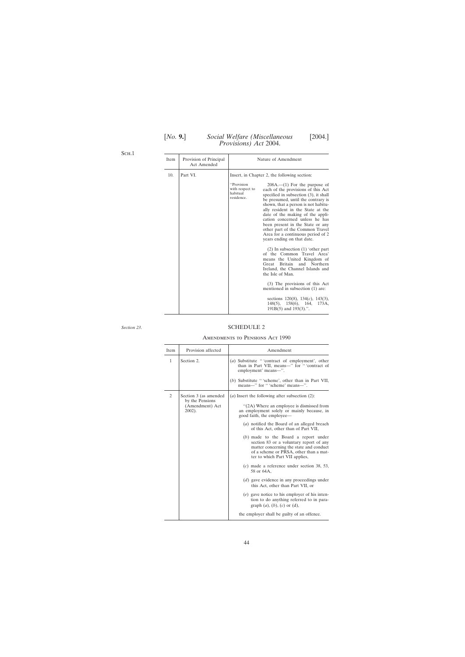| [No. 9.] | Social Welfare (Miscellaneous<br><i>Provisions</i> ) <i>Act</i> 2004. | [2004.] |
|----------|-----------------------------------------------------------------------|---------|
|          |                                                                       |         |

<span id="page-43-0"></span>Sch.1

| <b>Item</b> | Provision of Principal<br>Act Amended |                                                         | Nature of Amendment                                                                                                                                                                                                                                                                                                                                                                                                                                 |
|-------------|---------------------------------------|---------------------------------------------------------|-----------------------------------------------------------------------------------------------------------------------------------------------------------------------------------------------------------------------------------------------------------------------------------------------------------------------------------------------------------------------------------------------------------------------------------------------------|
| 10.         | Part VI.                              |                                                         | Insert, in Chapter 2, the following section:                                                                                                                                                                                                                                                                                                                                                                                                        |
|             |                                       | "Provision<br>with respect to<br>habitual<br>residence. | $208A$ .— $(1)$ For the purpose of<br>each of the provisions of this Act<br>specified in subsection (3), it shall<br>be presumed, until the contrary is<br>shown, that a person is not habitu-<br>ally resident in the State at the<br>date of the making of the appli-<br>cation concerned unless he has<br>been present in the State or any<br>other part of the Common Travel<br>Area for a continuous period of 2<br>years ending on that date. |
|             |                                       |                                                         | $(2)$ In subsection $(1)$ 'other part<br>of the Common Travel Area'<br>means the United Kingdom of<br>Britain and Northern<br>Great<br>Ireland, the Channel Islands and<br>the Isle of Man.                                                                                                                                                                                                                                                         |
|             |                                       |                                                         | (3) The provisions of this Act<br>mentioned in subsection (1) are:                                                                                                                                                                                                                                                                                                                                                                                  |
|             |                                       |                                                         | sections $120(8)$ , $134(c)$ , $143(3)$ ,<br>$158(6)$ , 164, 173A,<br>$148(5)$ ,<br>$191B(5)$ and $193(3)$ .".                                                                                                                                                                                                                                                                                                                                      |

#### *Section 23*.

# SCHEDULE 2

#### Amendments to Pensions Act 1990

| Item | Provision affected                           | Amendment                                                                                                                                                                                                |
|------|----------------------------------------------|----------------------------------------------------------------------------------------------------------------------------------------------------------------------------------------------------------|
| 1    | Section 2.                                   | (a) Substitute "'contract of employment', other<br>than in Part VII, means-" for "'contract of<br>employment' means-".                                                                                   |
|      |                                              | (b) Substitute "'scheme', other than in Part VII,<br>means-" for "'scheme' means-".                                                                                                                      |
| 2    | Section 3 (as amended                        | ( <i>a</i> ) Insert the following after subsection $(2)$ :                                                                                                                                               |
|      | by the Pensions<br>(Amendment) Act<br>2002). | "(2A) Where an employee is dismissed from<br>an employment solely or mainly because, in<br>good faith, the employee—                                                                                     |
|      |                                              | (a) notified the Board of an alleged breach<br>of this Act, other than of Part VII,                                                                                                                      |
|      |                                              | $(b)$ made to the Board a report under<br>section 83 or a voluntary report of any<br>matter concerning the state and conduct<br>of a scheme or PRSA, other than a mat-<br>ter to which Part VII applies, |
|      |                                              | $(c)$ made a reference under section 38, 53,<br>58 or 64A,                                                                                                                                               |
|      |                                              | $(d)$ gave evidence in any proceedings under<br>this Act, other than Part VII, or                                                                                                                        |
|      |                                              | $(e)$ gave notice to his employer of his inten-<br>tion to do anything referred to in para-<br>graph $(a)$ , $(b)$ , $(c)$ or $(d)$ ,                                                                    |
|      |                                              | the employer shall be guilty of an offence.                                                                                                                                                              |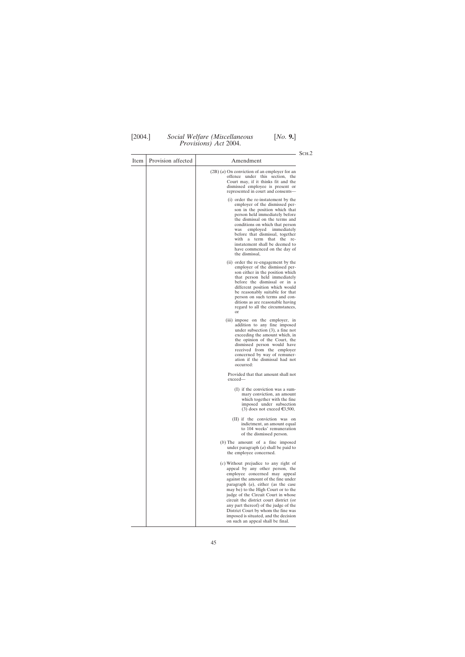$\overline{\phantom{a}}$ 

T

 $SCH.2$ 

| Item | Provision affected | Amendment                                                                                                                                                                                                                                                                                                                                                                                                                                                                           |
|------|--------------------|-------------------------------------------------------------------------------------------------------------------------------------------------------------------------------------------------------------------------------------------------------------------------------------------------------------------------------------------------------------------------------------------------------------------------------------------------------------------------------------|
|      |                    | $(2B)$ ( <i>a</i> ) On conviction of an employer for an<br>offence under this section, the<br>Court may, if it thinks fit and the<br>dismissed employee is present or<br>represented in court and consents—                                                                                                                                                                                                                                                                         |
|      |                    | (i) order the re-instatement by the<br>employer of the dismissed per-<br>son in the position which that<br>person held immediately before<br>the dismissal on the terms and<br>conditions on which that person<br>employed immediately<br>was<br>before that dismissal, together<br>with a term that the<br>re-<br>instatement shall be deemed to<br>have commenced on the day of<br>the dismissal,                                                                                 |
|      |                    | (ii) order the re-engagement by the<br>employer of the dismissed per-<br>son either in the position which<br>that person held immediately<br>before the dismissal or in a<br>different position which would<br>be reasonably suitable for that<br>person on such terms and con-<br>ditions as are reasonable having<br>regard to all the circumstances,<br>or                                                                                                                       |
|      |                    | (iii) impose on the employer, in<br>addition to any fine imposed<br>under subsection $(3)$ , a fine not<br>exceeding the amount which, in<br>the opinion of the Court, the<br>dismissed person would have<br>received from the employer<br>concerned by way of remuner-<br>ation if the dismissal had not<br>occurred:                                                                                                                                                              |
|      |                    | Provided that that amount shall not<br>$exceed-$                                                                                                                                                                                                                                                                                                                                                                                                                                    |
|      |                    | (I) if the conviction was a sum-<br>mary conviction, an amount<br>which together with the fine<br>imposed under subsection<br>(3) does not exceed $\epsilon$ 3,500,                                                                                                                                                                                                                                                                                                                 |
|      |                    | (II) if the conviction was on<br>indictment, an amount equal<br>to 104 weeks' remuneration<br>of the dismissed person.                                                                                                                                                                                                                                                                                                                                                              |
|      |                    | $(b)$ The amount of a fine imposed<br>under paragraph $(a)$ shall be paid to<br>the employee concerned.                                                                                                                                                                                                                                                                                                                                                                             |
|      |                    | $(c)$ Without prejudice to any right of<br>appeal by any other person, the<br>employee concerned may appeal<br>against the amount of the fine under<br>paragraph $(a)$ , either (as the case<br>may be) to the High Court or to the<br>judge of the Circuit Court in whose<br>circuit the district court district (or<br>any part thereof) of the judge of the<br>District Court by whom the fine was<br>imposed is situated, and the decision<br>on such an appeal shall be final. |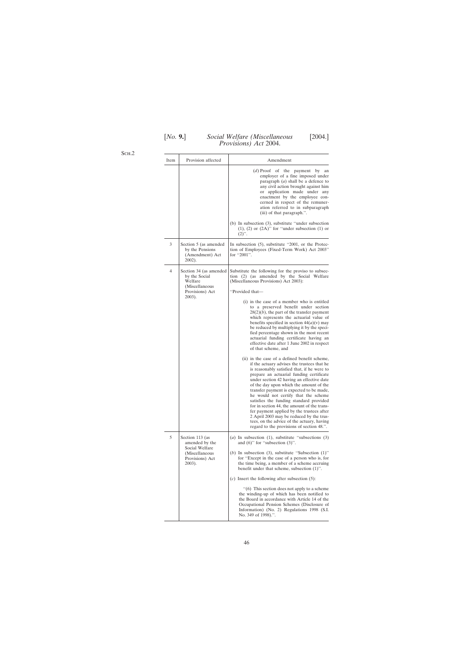| [No. 9.] | Social Welfare (Miscellaneous        | [2004.] |
|----------|--------------------------------------|---------|
|          | <i>Provisions</i> ) <i>Act</i> 2004. |         |

Sch.2

| Item | Provision affected                                                                                 | Amendment                                                                                                                                                                                                                                                                                                                                                                                                                                                                                                                                                                                                                                                                                                                                                                                                                                                                                                                                                                                                                                                                                                                                                                                                                                                        |
|------|----------------------------------------------------------------------------------------------------|------------------------------------------------------------------------------------------------------------------------------------------------------------------------------------------------------------------------------------------------------------------------------------------------------------------------------------------------------------------------------------------------------------------------------------------------------------------------------------------------------------------------------------------------------------------------------------------------------------------------------------------------------------------------------------------------------------------------------------------------------------------------------------------------------------------------------------------------------------------------------------------------------------------------------------------------------------------------------------------------------------------------------------------------------------------------------------------------------------------------------------------------------------------------------------------------------------------------------------------------------------------|
|      |                                                                                                    | $(d)$ Proof of the payment<br>by<br>an<br>employer of a fine imposed under<br>paragraph $(a)$ shall be a defence to<br>any civil action brought against him<br>application made under any<br>or<br>enactment by the employee con-<br>cerned in respect of the remuner-<br>ation referred to in subparagraph<br>(iii) of that paragraph.".                                                                                                                                                                                                                                                                                                                                                                                                                                                                                                                                                                                                                                                                                                                                                                                                                                                                                                                        |
|      |                                                                                                    | (b) In subsection (3), substitute "under subsection<br>$(1)$ , $(2)$ or $(2A)$ " for "under subsection $(1)$ or<br>$(2)$ ".                                                                                                                                                                                                                                                                                                                                                                                                                                                                                                                                                                                                                                                                                                                                                                                                                                                                                                                                                                                                                                                                                                                                      |
| 3    | Section 5 (as amended<br>by the Pensions<br>(Amendment) Act<br>$2002$ ).                           | In subsection (5), substitute "2001, or the Protec-<br>tion of Employees (Fixed-Term Work) Act 2003"<br>for "2001".                                                                                                                                                                                                                                                                                                                                                                                                                                                                                                                                                                                                                                                                                                                                                                                                                                                                                                                                                                                                                                                                                                                                              |
| 4    | Section 34 (as amended<br>by the Social<br>Welfare<br>(Miscellaneous<br>Provisions) Act<br>2003).  | Substitute the following for the proviso to subsec-<br>tion (2) (as amended by the Social Welfare<br>(Miscellaneous Provisions) Act 2003):<br>"Provided that-<br>(i) in the case of a member who is entitled<br>to a preserved benefit under section<br>$28(2)(b)$ , the part of the transfer payment<br>which represents the actuarial value of<br>benefits specified in section $44(a)(v)$ may<br>be reduced by multiplying it by the speci-<br>fied percentage shown in the most recent<br>actuarial funding certificate having an<br>effective date after 1 June 2002 in respect<br>of that scheme, and<br>(ii) in the case of a defined benefit scheme,<br>if the actuary advises the trustees that he<br>is reasonably satisfied that, if he were to<br>prepare an actuarial funding certificate<br>under section 42 having an effective date<br>of the day upon which the amount of the<br>transfer payment is expected to be made,<br>he would not certify that the scheme<br>satisfies the funding standard provided<br>for in section 44, the amount of the trans-<br>fer payment applied by the trustees after<br>2 April 2003 may be reduced by the trus-<br>tees, on the advice of the actuary, having<br>regard to the provisions of section 48.". |
| 5    | Section 113 (as<br>amended by the<br>Social Welfare<br>(Miscellaneous<br>Provisions) Act<br>2003). | (a) In subsection $(1)$ , substitute "subsections $(3)$<br>and $(6)$ " for "subsection $(3)$ ".<br>(b) In subsection (3), substitute "Subsection $(1)$ "<br>for "Except in the case of a person who is, for<br>the time being, a member of a scheme accruing<br>benefit under that scheme, subsection (1)".<br>$(c)$ Insert the following after subsection (5):<br>$\cdot$ (6) This section does not apply to a scheme<br>the winding-up of which has been notified to<br>the Board in accordance with Article 14 of the<br>Occupational Pension Schemes (Disclosure of<br>Information) (No. 2) Regulations 1998 (S.I.<br>No. 349 of 1998).".                                                                                                                                                                                                                                                                                                                                                                                                                                                                                                                                                                                                                    |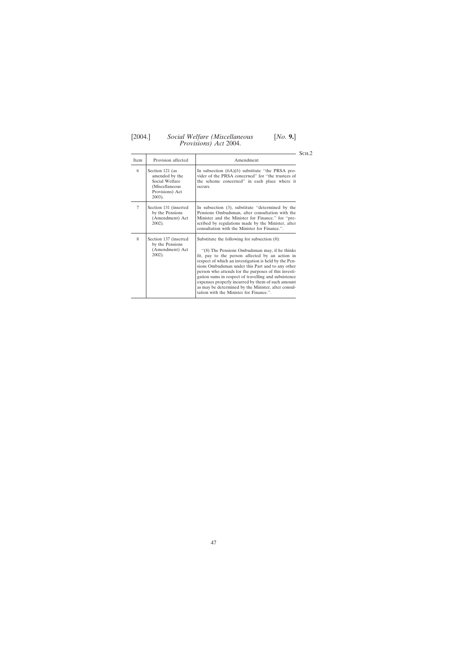# [2004.] *Social Welfare (Miscellaneous* [*No.* **9.**]

*Provisions) Act* 2004.

 $SCH.2$ 

| Item   | Provision affected                                                                                    | Amendment                                                                                                                                                                                                                                                                                                                                                                                                                                                                                                                            |
|--------|-------------------------------------------------------------------------------------------------------|--------------------------------------------------------------------------------------------------------------------------------------------------------------------------------------------------------------------------------------------------------------------------------------------------------------------------------------------------------------------------------------------------------------------------------------------------------------------------------------------------------------------------------------|
| 6      | Section 121 (as<br>amended by the<br>Social Welfare<br>(Miscellaneous<br>Provisions) Act<br>$2003$ ). | In subsection $(6A)(b)$ substitute "the PRSA pro-<br>vider of the PRSA concerned" for "the trustees of<br>the scheme concerned" in each place where it<br>occurs.                                                                                                                                                                                                                                                                                                                                                                    |
| $\tau$ | Section 131 (inserted<br>by the Pensions<br>(Amendment) Act<br>2002).                                 | In subsection (3), substitute "determined by the<br>Pensions Ombudsman, after consultation with the<br>Minister and the Minister for Finance." for "pre-<br>scribed by regulations made by the Minister, after<br>consultation with the Minister for Finance.".                                                                                                                                                                                                                                                                      |
| 8      | Section 137 (inserted<br>by the Pensions<br>(Amendment) Act<br>$2002$ ).                              | Substitute the following for subsection (8):<br>"(8) The Pensions Ombudsman may, if he thinks<br>fit, pay to the person affected by an action in<br>respect of which an investigation is held by the Pen-<br>sions Ombudsman under this Part and to any other<br>person who attends for the purposes of this investi-<br>gation sums in respect of travelling and subsistence<br>expenses properly incurred by them of such amount<br>as may be determined by the Minister, after consul-<br>tation with the Minister for Finance.". |